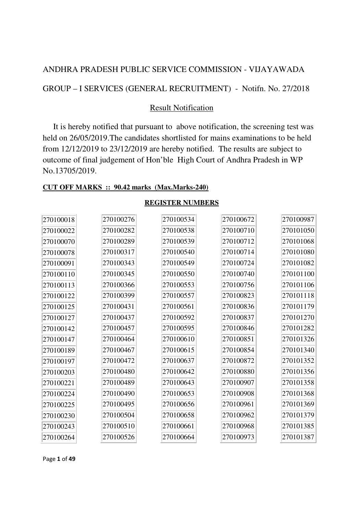## ANDHRA PRADESH PUBLIC SERVICE COMMISSION - VIJAYAWADA

GROUP – I SERVICES (GENERAL RECRUITMENT) - Notifn. No. 27/2018

### Result Notification

 It is hereby notified that pursuant to above notification, the screening test was held on 26/05/2019.The candidates shortlisted for mains examinations to be held from 12/12/2019 to 23/12/2019 are hereby notified.The results are subject to outcome of final judgement of Hon'ble High Court of Andhra Pradesh in WP No.13705/2019.

#### **CUT OFF MARKS :: 90.42 marks (Max.Marks-240)**

| 270100018 | 270100276 | 270100534 | 270100672 | 270100987 |
|-----------|-----------|-----------|-----------|-----------|
| 270100022 | 270100282 | 270100538 | 270100710 | 270101050 |
| 270100070 | 270100289 | 270100539 | 270100712 | 270101068 |
| 270100078 | 270100317 | 270100540 | 270100714 | 270101080 |
| 270100091 | 270100343 | 270100549 | 270100724 | 270101082 |
| 270100110 | 270100345 | 270100550 | 270100740 | 270101100 |
| 270100113 | 270100366 | 270100553 | 270100756 | 270101106 |
| 270100122 | 270100399 | 270100557 | 270100823 | 270101118 |
| 270100125 | 270100431 | 270100561 | 270100836 | 270101179 |
| 270100127 | 270100437 | 270100592 | 270100837 | 270101270 |
| 270100142 | 270100457 | 270100595 | 270100846 | 270101282 |
| 270100147 | 270100464 | 270100610 | 270100851 | 270101326 |
| 270100189 | 270100467 | 270100615 | 270100854 | 270101340 |
| 270100197 | 270100472 | 270100637 | 270100872 | 270101352 |
| 270100203 | 270100480 | 270100642 | 270100880 | 270101356 |
| 270100221 | 270100489 | 270100643 | 270100907 | 270101358 |
| 270100224 | 270100490 | 270100653 | 270100908 | 270101368 |
| 270100225 | 270100495 | 270100656 | 270100961 | 270101369 |
| 270100230 | 270100504 | 270100658 | 270100962 | 270101379 |
| 270100243 | 270100510 | 270100661 | 270100968 | 270101385 |
| 270100264 | 270100526 | 270100664 | 270100973 | 270101387 |

#### **REGISTER NUMBERS**

Page **1** of **49**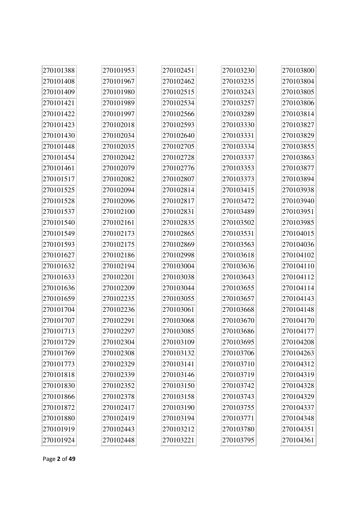| 270101388 | 270101953 | 270102451 | 270103230 | 270103800 |
|-----------|-----------|-----------|-----------|-----------|
| 270101408 | 270101967 | 270102462 | 270103235 | 270103804 |
| 270101409 | 270101980 | 270102515 | 270103243 | 270103805 |
| 270101421 | 270101989 | 270102534 | 270103257 | 270103806 |
| 270101422 | 270101997 | 270102566 | 270103289 | 270103814 |
| 270101423 | 270102018 | 270102593 | 270103330 | 270103827 |
| 270101430 | 270102034 | 270102640 | 270103331 | 270103829 |
| 270101448 | 270102035 | 270102705 | 270103334 | 270103855 |
| 270101454 | 270102042 | 270102728 | 270103337 | 270103863 |
| 270101461 | 270102079 | 270102776 | 270103353 | 270103877 |
| 270101517 | 270102082 | 270102807 | 270103373 | 270103894 |
| 270101525 | 270102094 | 270102814 | 270103415 | 270103938 |
| 270101528 | 270102096 | 270102817 | 270103472 | 270103940 |
| 270101537 | 270102100 | 270102831 | 270103489 | 270103951 |
| 270101540 | 270102161 | 270102835 | 270103502 | 270103985 |
| 270101549 | 270102173 | 270102865 | 270103531 | 270104015 |
| 270101593 | 270102175 | 270102869 | 270103563 | 270104036 |
| 270101627 | 270102186 | 270102998 | 270103618 | 270104102 |
| 270101632 | 270102194 | 270103004 | 270103636 | 270104110 |
| 270101633 | 270102201 | 270103038 | 270103643 | 270104112 |
| 270101636 | 270102209 | 270103044 | 270103655 | 270104114 |
| 270101659 | 270102235 | 270103055 | 270103657 | 270104143 |
| 270101704 | 270102236 | 270103061 | 270103668 | 270104148 |
| 270101707 | 270102291 | 270103068 | 270103670 | 270104170 |
| 270101713 | 270102297 | 270103085 | 270103686 | 270104177 |
| 270101729 | 270102304 | 270103109 | 270103695 | 270104208 |
| 270101769 | 270102308 | 270103132 | 270103706 | 270104263 |
| 270101773 | 270102329 | 270103141 | 270103710 | 270104312 |
| 270101818 | 270102339 | 270103146 | 270103719 | 270104319 |
| 270101830 | 270102352 | 270103150 | 270103742 | 270104328 |
| 270101866 | 270102378 | 270103158 | 270103743 | 270104329 |
| 270101872 | 270102417 | 270103190 | 270103755 | 270104337 |
| 270101880 | 270102419 | 270103194 | 270103771 | 270104348 |
| 270101919 | 270102443 | 270103212 | 270103780 | 270104351 |
| 270101924 | 270102448 | 270103221 | 270103795 | 270104361 |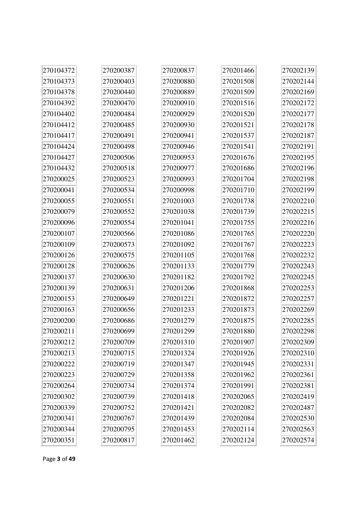| 270104372 | 270200387 | 270200837 | 270201466 | 270202139 |
|-----------|-----------|-----------|-----------|-----------|
| 270104373 | 270200403 | 270200880 | 270201508 | 270202144 |
| 270104378 | 270200440 | 270200889 | 270201509 | 270202169 |
| 270104392 | 270200470 | 270200910 | 270201516 | 270202172 |
| 270104402 | 270200484 | 270200929 | 270201520 | 270202177 |
| 270104412 | 270200485 | 270200930 | 270201521 | 270202178 |
| 270104417 | 270200491 | 270200941 | 270201537 | 270202187 |
| 270104424 | 270200498 | 270200946 | 270201541 | 270202191 |
| 270104427 | 270200506 | 270200953 | 270201676 | 270202195 |
| 270104432 | 270200518 | 270200977 | 270201686 | 270202196 |
| 270200025 | 270200523 | 270200993 | 270201704 | 270202198 |
| 270200041 | 270200534 | 270200998 | 270201710 | 270202199 |
| 270200055 | 270200551 | 270201003 | 270201738 | 270202210 |
| 270200079 | 270200552 | 270201038 | 270201739 | 270202215 |
| 270200096 | 270200554 | 270201041 | 270201755 | 270202216 |
| 270200107 | 270200566 | 270201086 | 270201765 | 270202220 |
| 270200109 | 270200573 | 270201092 | 270201767 | 270202223 |
| 270200126 | 270200575 | 270201105 | 270201768 | 270202232 |
| 270200128 | 270200626 | 270201133 | 270201779 | 270202243 |
| 270200137 | 270200630 | 270201182 | 270201792 | 270202245 |
| 270200139 | 270200631 | 270201206 | 270201868 | 270202253 |
| 270200153 | 270200649 | 270201221 | 270201872 | 270202257 |
| 270200163 | 270200656 | 270201233 | 270201873 | 270202269 |
| 270200200 | 270200686 | 270201279 | 270201875 | 270202285 |
| 270200211 | 270200699 | 270201299 | 270201880 | 270202298 |
| 270200212 | 270200709 | 270201310 | 270201907 | 270202309 |
| 270200213 | 270200715 | 270201324 | 270201926 | 270202310 |
| 270200222 | 270200719 | 270201347 | 270201945 | 270202331 |
| 270200223 | 270200729 | 270201358 | 270201962 | 270202361 |
| 270200264 | 270200734 | 270201374 | 270201991 | 270202381 |
| 270200302 | 270200739 | 270201418 | 270202065 | 270202419 |
| 270200339 | 270200752 | 270201421 | 270202082 | 270202487 |
| 270200341 | 270200767 | 270201439 | 270202084 | 270202530 |
| 270200344 | 270200795 | 270201453 | 270202114 | 270202563 |
| 270200351 | 270200817 | 270201462 | 270202124 | 270202574 |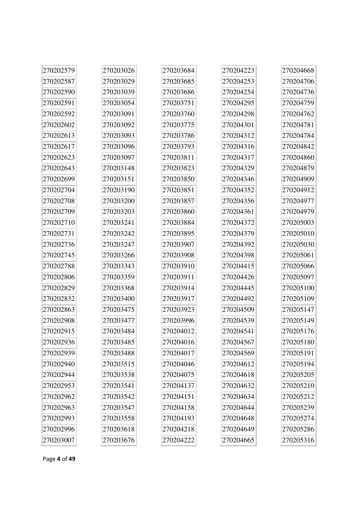| 270202579 | 270203026 | 270203684 | 270204223 | 270204668 |
|-----------|-----------|-----------|-----------|-----------|
| 270202587 | 270203029 | 270203685 | 270204253 | 270204706 |
| 270202590 | 270203039 | 270203686 | 270204254 | 270204736 |
| 270202591 | 270203054 | 270203751 | 270204295 | 270204759 |
| 270202592 | 270203091 | 270203760 | 270204298 | 270204762 |
| 270202602 | 270203092 | 270203775 | 270204301 | 270204781 |
| 270202613 | 270203093 | 270203786 | 270204312 | 270204784 |
| 270202617 | 270203096 | 270203793 | 270204316 | 270204842 |
| 270202623 | 270203097 | 270203811 | 270204317 | 270204860 |
| 270202643 | 270203148 | 270203823 | 270204329 | 270204879 |
| 270202699 | 270203151 | 270203850 | 270204346 | 270204909 |
| 270202704 | 270203190 | 270203851 | 270204352 | 270204912 |
| 270202708 | 270203200 | 270203857 | 270204356 | 270204977 |
| 270202709 | 270203203 | 270203860 | 270204361 | 270204979 |
| 270202710 | 270203241 | 270203884 | 270204372 | 270205003 |
| 270202731 | 270203242 | 270203895 | 270204379 | 270205010 |
| 270202736 | 270203247 | 270203907 | 270204392 | 270205030 |
| 270202745 | 270203266 | 270203908 | 270204398 | 270205061 |
| 270202788 | 270203343 | 270203910 | 270204415 | 270205066 |
| 270202806 | 270203359 | 270203911 | 270204426 | 270205097 |
| 270202829 | 270203368 | 270203914 | 270204445 | 270205100 |
| 270202832 | 270203400 | 270203917 | 270204492 | 270205109 |
| 270202863 | 270203475 | 270203923 | 270204509 | 270205147 |
| 270202908 | 270203477 | 270203996 | 270204539 | 270205149 |
| 270202915 | 270203484 | 270204012 | 270204541 | 270205176 |
| 270202936 | 270203485 | 270204016 | 270204567 | 270205180 |
| 270202939 | 270203488 | 270204017 | 270204569 | 270205191 |
| 270202940 | 270203515 | 270204046 | 270204612 | 270205194 |
| 270202944 | 270203538 | 270204075 | 270204618 | 270205205 |
| 270202953 | 270203541 | 270204137 | 270204632 | 270205210 |
| 270202962 | 270203542 | 270204151 | 270204634 | 270205212 |
| 270202963 | 270203547 | 270204158 | 270204644 | 270205239 |
| 270202993 | 270203558 | 270204193 | 270204648 | 270205274 |
| 270202996 | 270203618 | 270204218 | 270204649 | 270205286 |
| 270203007 | 270203676 | 270204222 | 270204665 | 270205316 |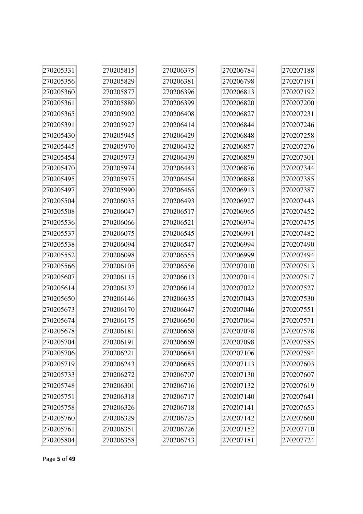| 270205331 | 270205815 | 270206375 | 270206784 | 270207188 |
|-----------|-----------|-----------|-----------|-----------|
| 270205356 | 270205829 | 270206381 | 270206798 | 270207191 |
| 270205360 | 270205877 | 270206396 | 270206813 | 270207192 |
| 270205361 | 270205880 | 270206399 | 270206820 | 270207200 |
| 270205365 | 270205902 | 270206408 | 270206827 | 270207231 |
| 270205391 | 270205927 | 270206414 | 270206844 | 270207246 |
| 270205430 | 270205945 | 270206429 | 270206848 | 270207258 |
| 270205445 | 270205970 | 270206432 | 270206857 | 270207276 |
| 270205454 | 270205973 | 270206439 | 270206859 | 270207301 |
| 270205470 | 270205974 | 270206443 | 270206876 | 270207344 |
| 270205495 | 270205975 | 270206464 | 270206888 | 270207385 |
| 270205497 | 270205990 | 270206465 | 270206913 | 270207387 |
| 270205504 | 270206035 | 270206493 | 270206927 | 270207443 |
| 270205508 | 270206047 | 270206517 | 270206965 | 270207452 |
| 270205536 | 270206066 | 270206521 | 270206974 | 270207475 |
| 270205537 | 270206075 | 270206545 | 270206991 | 270207482 |
| 270205538 | 270206094 | 270206547 | 270206994 | 270207490 |
| 270205552 | 270206098 | 270206555 | 270206999 | 270207494 |
| 270205566 | 270206105 | 270206556 | 270207010 | 270207513 |
| 270205607 | 270206115 | 270206613 | 270207014 | 270207517 |
| 270205614 | 270206137 | 270206614 | 270207022 | 270207527 |
| 270205650 | 270206146 | 270206635 | 270207043 | 270207530 |
| 270205673 | 270206170 | 270206647 | 270207046 | 270207551 |
| 270205674 | 270206175 | 270206650 | 270207064 | 270207571 |
| 270205678 | 270206181 | 270206668 | 270207078 | 270207578 |
| 270205704 | 270206191 | 270206669 | 270207098 | 270207585 |
| 270205706 | 270206221 | 270206684 | 270207106 | 270207594 |
| 270205719 | 270206243 | 270206685 | 270207113 | 270207603 |
| 270205733 | 270206272 | 270206707 | 270207130 | 270207607 |
| 270205748 | 270206301 | 270206716 | 270207132 | 270207619 |
| 270205751 | 270206318 | 270206717 | 270207140 | 270207641 |
| 270205758 | 270206326 | 270206718 | 270207141 | 270207653 |
| 270205760 | 270206329 | 270206725 | 270207142 | 270207660 |
| 270205761 | 270206351 | 270206726 | 270207152 | 270207710 |
| 270205804 | 270206358 | 270206743 | 270207181 | 270207724 |

à.

Page **5** of **49**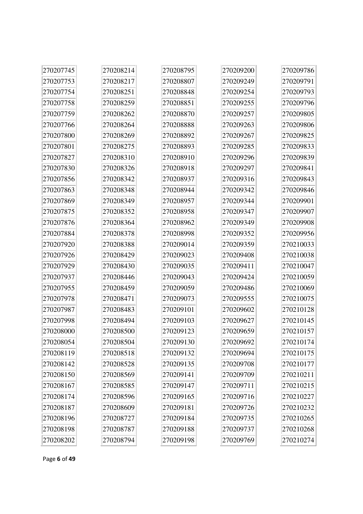| 270207745 | 270208214 | 270208795 | 270209200 | 270209786 |
|-----------|-----------|-----------|-----------|-----------|
| 270207753 | 270208217 | 270208807 | 270209249 | 270209791 |
| 270207754 | 270208251 | 270208848 | 270209254 | 270209793 |
| 270207758 | 270208259 | 270208851 | 270209255 | 270209796 |
| 270207759 | 270208262 | 270208870 | 270209257 | 270209805 |
| 270207766 | 270208264 | 270208888 | 270209263 | 270209806 |
| 270207800 | 270208269 | 270208892 | 270209267 | 270209825 |
| 270207801 | 270208275 | 270208893 | 270209285 | 270209833 |
| 270207827 | 270208310 | 270208910 | 270209296 | 270209839 |
| 270207830 | 270208326 | 270208918 | 270209297 | 270209841 |
| 270207856 | 270208342 | 270208937 | 270209316 | 270209843 |
| 270207863 | 270208348 | 270208944 | 270209342 | 270209846 |
| 270207869 | 270208349 | 270208957 | 270209344 | 270209901 |
| 270207875 | 270208352 | 270208958 | 270209347 | 270209907 |
| 270207876 | 270208364 | 270208962 | 270209349 | 270209908 |
| 270207884 | 270208378 | 270208998 | 270209352 | 270209956 |
| 270207920 | 270208388 | 270209014 | 270209359 | 270210033 |
| 270207926 | 270208429 | 270209023 | 270209408 | 270210038 |
| 270207929 | 270208430 | 270209035 | 270209411 | 270210047 |
| 270207937 | 270208446 | 270209043 | 270209424 | 270210059 |
| 270207955 | 270208459 | 270209059 | 270209486 | 270210069 |
| 270207978 | 270208471 | 270209073 | 270209555 | 270210075 |
| 270207987 | 270208483 | 270209101 | 270209602 | 270210128 |
| 270207998 | 270208494 | 270209103 | 270209627 | 270210145 |
| 270208000 | 270208500 | 270209123 | 270209659 | 270210157 |
| 270208054 | 270208504 | 270209130 | 270209692 | 270210174 |
| 270208119 | 270208518 | 270209132 | 270209694 | 270210175 |
| 270208142 | 270208528 | 270209135 | 270209708 | 270210177 |
| 270208150 | 270208569 | 270209141 | 270209709 | 270210211 |
| 270208167 | 270208585 | 270209147 | 270209711 | 270210215 |
| 270208174 | 270208596 | 270209165 | 270209716 | 270210227 |
| 270208187 | 270208609 | 270209181 | 270209726 | 270210232 |
| 270208196 | 270208727 | 270209184 | 270209735 | 270210265 |
| 270208198 | 270208787 | 270209188 | 270209737 | 270210268 |
| 270208202 | 270208794 | 270209198 | 270209769 | 270210274 |

Page **6** of **49**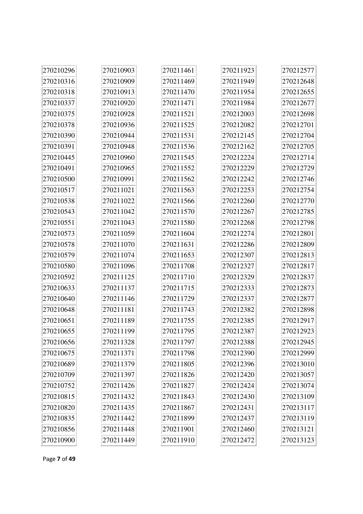| 270210296 | 270210903 | 270211461 | 270211923 | 270212577 |
|-----------|-----------|-----------|-----------|-----------|
| 270210316 | 270210909 | 270211469 | 270211949 | 270212648 |
| 270210318 | 270210913 | 270211470 | 270211954 | 270212655 |
| 270210337 | 270210920 | 270211471 | 270211984 | 270212677 |
| 270210375 | 270210928 | 270211521 | 270212003 | 270212698 |
| 270210378 | 270210936 | 270211525 | 270212082 | 270212701 |
| 270210390 | 270210944 | 270211531 | 270212145 | 270212704 |
| 270210391 | 270210948 | 270211536 | 270212162 | 270212705 |
| 270210445 | 270210960 | 270211545 | 270212224 | 270212714 |
| 270210491 | 270210965 | 270211552 | 270212229 | 270212729 |
| 270210500 | 270210991 | 270211562 | 270212242 | 270212746 |
| 270210517 | 270211021 | 270211563 | 270212253 | 270212754 |
| 270210538 | 270211022 | 270211566 | 270212260 | 270212770 |
| 270210543 | 270211042 | 270211570 | 270212267 | 270212785 |
| 270210551 | 270211043 | 270211580 | 270212268 | 270212798 |
| 270210573 | 270211059 | 270211604 | 270212274 | 270212801 |
| 270210578 | 270211070 | 270211631 | 270212286 | 270212809 |
| 270210579 | 270211074 | 270211653 | 270212307 | 270212813 |
| 270210580 | 270211096 | 270211708 | 270212327 | 270212817 |
| 270210592 | 270211125 | 270211710 | 270212329 | 270212837 |
| 270210633 | 270211137 | 270211715 | 270212333 | 270212873 |
| 270210640 | 270211146 | 270211729 | 270212337 | 270212877 |
| 270210648 | 270211181 | 270211743 | 270212382 | 270212898 |
| 270210651 | 270211189 | 270211755 | 270212385 | 270212917 |
| 270210655 | 270211199 | 270211795 | 270212387 | 270212923 |
| 270210656 | 270211328 | 270211797 | 270212388 | 270212945 |
| 270210675 | 270211371 | 270211798 | 270212390 | 270212999 |
| 270210689 | 270211379 | 270211805 | 270212396 | 270213010 |
| 270210709 | 270211397 | 270211826 | 270212420 | 270213057 |
| 270210752 | 270211426 | 270211827 | 270212424 | 270213074 |
| 270210815 | 270211432 | 270211843 | 270212430 | 270213109 |
| 270210820 | 270211435 | 270211867 | 270212431 | 270213117 |
| 270210835 | 270211442 | 270211899 | 270212437 | 270213119 |
| 270210856 | 270211448 | 270211901 | 270212460 | 270213121 |
| 270210900 | 270211449 | 270211910 | 270212472 | 270213123 |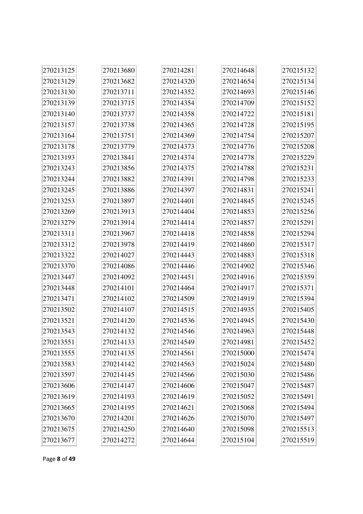| 270213125 | 270213680 | 270214281 | 270214648 | 270215132 |
|-----------|-----------|-----------|-----------|-----------|
| 270213129 | 270213682 | 270214320 | 270214654 | 270215134 |
| 270213130 | 270213711 | 270214352 | 270214693 | 270215146 |
| 270213139 | 270213715 | 270214354 | 270214709 | 270215152 |
| 270213140 | 270213737 | 270214358 | 270214722 | 270215181 |
| 270213157 | 270213738 | 270214365 | 270214728 | 270215195 |
| 270213164 | 270213751 | 270214369 | 270214754 | 270215207 |
| 270213178 | 270213779 | 270214373 | 270214776 | 270215208 |
| 270213193 | 270213841 | 270214374 | 270214778 | 270215229 |
| 270213243 | 270213856 | 270214375 | 270214788 | 270215231 |
| 270213244 | 270213882 | 270214391 | 270214798 | 270215233 |
| 270213245 | 270213886 | 270214397 | 270214831 | 270215241 |
| 270213253 | 270213897 | 270214401 | 270214845 | 270215245 |
| 270213269 | 270213913 | 270214404 | 270214853 | 270215256 |
| 270213279 | 270213914 | 270214414 | 270214857 | 270215291 |
| 270213311 | 270213967 | 270214418 | 270214858 | 270215294 |
| 270213312 | 270213978 | 270214419 | 270214860 | 270215317 |
| 270213322 | 270214027 | 270214443 | 270214883 | 270215318 |
| 270213370 | 270214086 | 270214446 | 270214902 | 270215346 |
| 270213447 | 270214092 | 270214451 | 270214916 | 270215359 |
| 270213448 | 270214101 | 270214464 | 270214917 | 270215371 |
| 270213471 | 270214102 | 270214509 | 270214919 | 270215394 |
| 270213502 | 270214107 | 270214515 | 270214935 | 270215405 |
| 270213521 | 270214120 | 270214536 | 270214945 | 270215430 |
| 270213543 | 270214132 | 270214546 | 270214963 | 270215448 |
| 270213551 | 270214133 | 270214549 | 270214981 | 270215452 |
| 270213555 | 270214135 | 270214561 | 270215000 | 270215474 |
| 270213583 | 270214142 | 270214563 | 270215024 | 270215480 |
| 270213597 | 270214145 | 270214566 | 270215030 | 270215486 |
| 270213606 | 270214147 | 270214606 | 270215047 | 270215487 |
| 270213619 | 270214193 | 270214619 | 270215052 | 270215491 |
| 270213665 | 270214195 | 270214621 | 270215068 | 270215494 |
| 270213670 | 270214201 | 270214626 | 270215070 | 270215497 |
| 270213675 | 270214250 | 270214640 | 270215098 | 270215513 |
| 270213677 | 270214272 | 270214644 | 270215104 | 270215519 |

Page **8** of **49**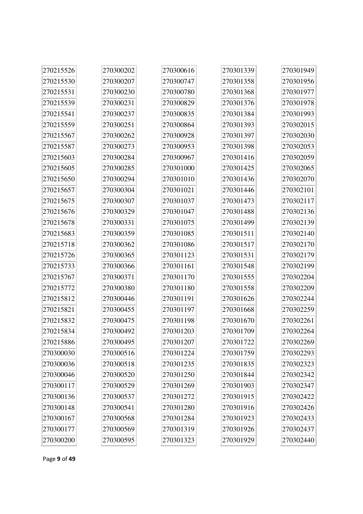| 270215526 | 270300202 | 270300616 | 270301339 | 270301949 |
|-----------|-----------|-----------|-----------|-----------|
| 270215530 | 270300207 | 270300747 | 270301358 | 270301956 |
| 270215531 | 270300230 | 270300780 | 270301368 | 270301977 |
| 270215539 | 270300231 | 270300829 | 270301376 | 270301978 |
| 270215541 | 270300237 | 270300835 | 270301384 | 270301993 |
| 270215559 | 270300251 | 270300864 | 270301393 | 270302015 |
| 270215567 | 270300262 | 270300928 | 270301397 | 270302030 |
| 270215587 | 270300273 | 270300953 | 270301398 | 270302053 |
| 270215603 | 270300284 | 270300967 | 270301416 | 270302059 |
| 270215605 | 270300285 | 270301000 | 270301425 | 270302065 |
| 270215650 | 270300294 | 270301010 | 270301436 | 270302070 |
| 270215657 | 270300304 | 270301021 | 270301446 | 270302101 |
| 270215675 | 270300307 | 270301037 | 270301473 | 270302117 |
| 270215676 | 270300329 | 270301047 | 270301488 | 270302136 |
| 270215678 | 270300331 | 270301075 | 270301499 | 270302139 |
| 270215683 | 270300359 | 270301085 | 270301511 | 270302140 |
| 270215718 | 270300362 | 270301086 | 270301517 | 270302170 |
| 270215726 | 270300365 | 270301123 | 270301531 | 270302179 |
| 270215733 | 270300366 | 270301161 | 270301548 | 270302199 |
| 270215767 | 270300371 | 270301170 | 270301555 | 270302204 |
| 270215772 | 270300380 | 270301180 | 270301558 | 270302209 |
| 270215812 | 270300446 | 270301191 | 270301626 | 270302244 |
| 270215821 | 270300455 | 270301197 | 270301668 | 270302259 |
| 270215832 | 270300475 | 270301198 | 270301670 | 270302261 |
| 270215834 | 270300492 | 270301203 | 270301709 | 270302264 |
| 270215886 | 270300495 | 270301207 | 270301722 | 270302269 |
| 270300030 | 270300516 | 270301224 | 270301759 | 270302293 |
| 270300036 | 270300518 | 270301235 | 270301835 | 270302323 |
| 270300046 | 270300520 | 270301250 | 270301844 | 270302342 |
| 270300117 | 270300529 | 270301269 | 270301903 | 270302347 |
| 270300136 | 270300537 | 270301272 | 270301915 | 270302422 |
| 270300148 | 270300541 | 270301280 | 270301916 | 270302426 |
| 270300167 | 270300568 | 270301284 | 270301923 | 270302433 |
| 270300177 | 270300569 | 270301319 | 270301926 | 270302437 |
| 270300200 | 270300595 | 270301323 | 270301929 | 270302440 |

ò.

÷.

 $\overline{1}$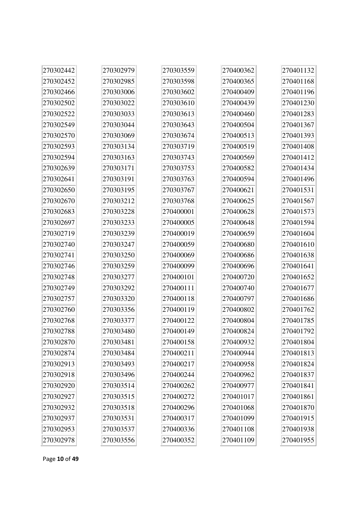| 270302442 | 270302979 | 270303559 | 270400362 | 270401132 |
|-----------|-----------|-----------|-----------|-----------|
| 270302452 | 270302985 | 270303598 | 270400365 | 270401168 |
| 270302466 | 270303006 | 270303602 | 270400409 | 270401196 |
| 270302502 | 270303022 | 270303610 | 270400439 | 270401230 |
| 270302522 | 270303033 | 270303613 | 270400460 | 270401283 |
| 270302549 | 270303044 | 270303643 | 270400504 | 270401367 |
| 270302570 | 270303069 | 270303674 | 270400513 | 270401393 |
| 270302593 | 270303134 | 270303719 | 270400519 | 270401408 |
| 270302594 | 270303163 | 270303743 | 270400569 | 270401412 |
| 270302639 | 270303171 | 270303753 | 270400582 | 270401434 |
| 270302641 | 270303191 | 270303763 | 270400594 | 270401496 |
| 270302650 | 270303195 | 270303767 | 270400621 | 270401531 |
| 270302670 | 270303212 | 270303768 | 270400625 | 270401567 |
| 270302683 | 270303228 | 270400001 | 270400628 | 270401573 |
| 270302697 | 270303233 | 270400005 | 270400648 | 270401594 |
| 270302719 | 270303239 | 270400019 | 270400659 | 270401604 |
| 270302740 | 270303247 | 270400059 | 270400680 | 270401610 |
| 270302741 | 270303250 | 270400069 | 270400686 | 270401638 |
| 270302746 | 270303259 | 270400099 | 270400696 | 270401641 |
| 270302748 | 270303277 | 270400101 | 270400720 | 270401652 |
| 270302749 | 270303292 | 270400111 | 270400740 | 270401677 |
| 270302757 | 270303320 | 270400118 | 270400797 | 270401686 |
| 270302760 | 270303356 | 270400119 | 270400802 | 270401762 |
| 270302768 | 270303377 | 270400122 | 270400804 | 270401785 |
| 270302788 | 270303480 | 270400149 | 270400824 | 270401792 |
| 270302870 | 270303481 | 270400158 | 270400932 | 270401804 |
| 270302874 | 270303484 | 270400211 | 270400944 | 270401813 |
| 270302913 | 270303493 | 270400217 | 270400958 | 270401824 |
| 270302918 | 270303496 | 270400244 | 270400962 | 270401837 |
| 270302920 | 270303514 | 270400262 | 270400977 | 270401841 |
| 270302927 | 270303515 | 270400272 | 270401017 | 270401861 |
| 270302932 | 270303518 | 270400296 | 270401068 | 270401870 |
| 270302937 | 270303531 | 270400317 | 270401099 | 270401915 |
| 270302953 | 270303537 | 270400336 | 270401108 | 270401938 |
| 270302978 | 270303556 | 270400352 | 270401109 | 270401955 |

Page **10** of **49**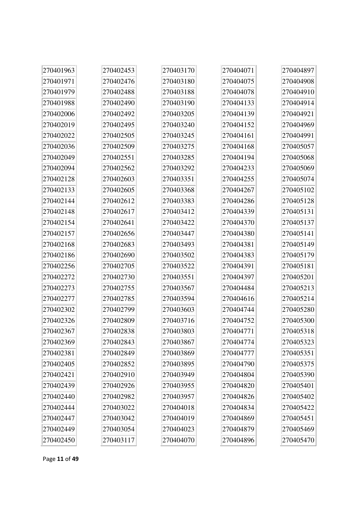| 270401963 | 270402453 | 270403170 | 270404071 | 270404897 |
|-----------|-----------|-----------|-----------|-----------|
| 270401971 | 270402476 | 270403180 | 270404075 | 270404908 |
| 270401979 | 270402488 | 270403188 | 270404078 | 270404910 |
| 270401988 | 270402490 | 270403190 | 270404133 | 270404914 |
| 270402006 | 270402492 | 270403205 | 270404139 | 270404921 |
| 270402019 | 270402495 | 270403240 | 270404152 | 270404969 |
| 270402022 | 270402505 | 270403245 | 270404161 | 270404991 |
| 270402036 | 270402509 | 270403275 | 270404168 | 270405057 |
| 270402049 | 270402551 | 270403285 | 270404194 | 270405068 |
| 270402094 | 270402562 | 270403292 | 270404233 | 270405069 |
| 270402128 | 270402603 | 270403351 | 270404255 | 270405074 |
| 270402133 | 270402605 | 270403368 | 270404267 | 270405102 |
| 270402144 | 270402612 | 270403383 | 270404286 | 270405128 |
| 270402148 | 270402617 | 270403412 | 270404339 | 270405131 |
| 270402154 | 270402641 | 270403422 | 270404370 | 270405137 |
| 270402157 | 270402656 | 270403447 | 270404380 | 270405141 |
| 270402168 | 270402683 | 270403493 | 270404381 | 270405149 |
| 270402186 | 270402690 | 270403502 | 270404383 | 270405179 |
| 270402256 | 270402705 | 270403522 | 270404391 | 270405181 |
| 270402272 | 270402730 | 270403551 | 270404397 | 270405201 |
| 270402273 | 270402755 | 270403567 | 270404484 | 270405213 |
| 270402277 | 270402785 | 270403594 | 270404616 | 270405214 |
| 270402302 | 270402799 | 270403603 | 270404744 | 270405280 |
| 270402326 | 270402809 | 270403716 | 270404752 | 270405300 |
| 270402367 | 270402838 | 270403803 | 270404771 | 270405318 |
| 270402369 | 270402843 | 270403867 | 270404774 | 270405323 |
| 270402381 | 270402849 | 270403869 | 270404777 | 270405351 |
| 270402405 | 270402852 | 270403895 | 270404790 | 270405375 |
| 270402421 | 270402910 | 270403949 | 270404804 | 270405390 |
| 270402439 | 270402926 | 270403955 | 270404820 | 270405401 |
| 270402440 | 270402982 | 270403957 | 270404826 | 270405402 |
| 270402444 | 270403022 | 270404018 | 270404834 | 270405422 |
| 270402447 | 270403042 | 270404019 | 270404869 | 270405451 |
| 270402449 | 270403054 | 270404023 | 270404879 | 270405469 |
| 270402450 | 270403117 | 270404070 | 270404896 | 270405470 |

Page **11** of **49**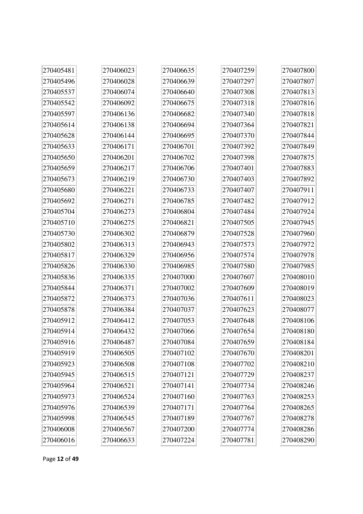| 270405481 | 270406023 | 270406635 | 270407259 | 270407800 |
|-----------|-----------|-----------|-----------|-----------|
| 270405496 | 270406028 | 270406639 | 270407297 | 270407807 |
| 270405537 | 270406074 | 270406640 | 270407308 | 270407813 |
| 270405542 | 270406092 | 270406675 | 270407318 | 270407816 |
| 270405597 | 270406136 | 270406682 | 270407340 | 270407818 |
| 270405614 | 270406138 | 270406694 | 270407364 | 270407821 |
| 270405628 | 270406144 | 270406695 | 270407370 | 270407844 |
| 270405633 | 270406171 | 270406701 | 270407392 | 270407849 |
| 270405650 | 270406201 | 270406702 | 270407398 | 270407875 |
| 270405659 | 270406217 | 270406706 | 270407401 | 270407883 |
| 270405673 | 270406219 | 270406730 | 270407403 | 270407892 |
| 270405680 | 270406221 | 270406733 | 270407407 | 270407911 |
| 270405692 | 270406271 | 270406785 | 270407482 | 270407912 |
| 270405704 | 270406273 | 270406804 | 270407484 | 270407924 |
| 270405710 | 270406275 | 270406821 | 270407505 | 270407945 |
| 270405730 | 270406302 | 270406879 | 270407528 | 270407960 |
| 270405802 | 270406313 | 270406943 | 270407573 | 270407972 |
| 270405817 | 270406329 | 270406956 | 270407574 | 270407978 |
| 270405826 | 270406330 | 270406985 | 270407580 | 270407985 |
| 270405836 | 270406335 | 270407000 | 270407607 | 270408010 |
| 270405844 | 270406371 | 270407002 | 270407609 | 270408019 |
| 270405872 | 270406373 | 270407036 | 270407611 | 270408023 |
| 270405878 | 270406384 | 270407037 | 270407623 | 270408077 |
| 270405912 | 270406412 | 270407053 | 270407648 | 270408106 |
| 270405914 | 270406432 | 270407066 | 270407654 | 270408180 |
| 270405916 | 270406487 | 270407084 | 270407659 | 270408184 |
| 270405919 | 270406505 | 270407102 | 270407670 | 270408201 |
| 270405923 | 270406508 | 270407108 | 270407702 | 270408210 |
| 270405945 | 270406515 | 270407121 | 270407729 | 270408237 |
| 270405964 | 270406521 | 270407141 | 270407734 | 270408246 |
| 270405973 | 270406524 | 270407160 | 270407763 | 270408253 |
| 270405976 | 270406539 | 270407171 | 270407764 | 270408265 |
| 270405998 | 270406545 | 270407189 | 270407767 | 270408278 |
| 270406008 | 270406567 | 270407200 | 270407774 | 270408286 |
| 270406016 | 270406633 | 270407224 | 270407781 | 270408290 |

÷.

à.

Page **12** of **49**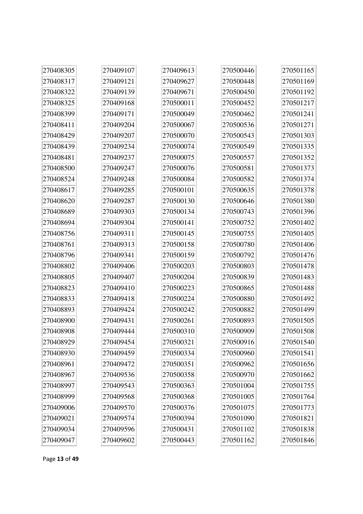| 270408305 | 270409107 | 270409613 | 270500446 | 270501165 |
|-----------|-----------|-----------|-----------|-----------|
| 270408317 | 270409121 | 270409627 | 270500448 | 270501169 |
| 270408322 | 270409139 | 270409671 | 270500450 | 270501192 |
| 270408325 | 270409168 | 270500011 | 270500452 | 270501217 |
| 270408399 | 270409171 | 270500049 | 270500462 | 270501241 |
| 270408411 | 270409204 | 270500067 | 270500536 | 270501271 |
| 270408429 | 270409207 | 270500070 | 270500543 | 270501303 |
| 270408439 | 270409234 | 270500074 | 270500549 | 270501335 |
| 270408481 | 270409237 | 270500075 | 270500557 | 270501352 |
| 270408500 | 270409247 | 270500076 | 270500581 | 270501373 |
| 270408524 | 270409248 | 270500084 | 270500582 | 270501374 |
| 270408617 | 270409285 | 270500101 | 270500635 | 270501378 |
| 270408620 | 270409287 | 270500130 | 270500646 | 270501380 |
| 270408689 | 270409303 | 270500134 | 270500743 | 270501396 |
| 270408694 | 270409304 | 270500141 | 270500752 | 270501402 |
| 270408756 | 270409311 | 270500145 | 270500755 | 270501405 |
| 270408761 | 270409313 | 270500158 | 270500780 | 270501406 |
| 270408796 | 270409341 | 270500159 | 270500792 | 270501476 |
| 270408802 | 270409406 | 270500203 | 270500803 | 270501478 |
| 270408805 | 270409407 | 270500204 | 270500839 | 270501483 |
| 270408823 | 270409410 | 270500223 | 270500865 | 270501488 |
| 270408833 | 270409418 | 270500224 | 270500880 | 270501492 |
| 270408893 | 270409424 | 270500242 | 270500882 | 270501499 |
| 270408900 | 270409431 | 270500261 | 270500893 | 270501505 |
| 270408908 | 270409444 | 270500310 | 270500909 | 270501508 |
| 270408929 | 270409454 | 270500321 | 270500916 | 270501540 |
| 270408930 | 270409459 | 270500334 | 270500960 | 270501541 |
| 270408961 | 270409472 | 270500351 | 270500962 | 270501656 |
| 270408967 | 270409536 | 270500358 | 270500970 | 270501662 |
| 270408997 | 270409543 | 270500363 | 270501004 | 270501755 |
| 270408999 | 270409568 | 270500368 | 270501005 | 270501764 |
| 270409006 | 270409570 | 270500376 | 270501075 | 270501773 |
| 270409021 | 270409574 | 270500394 | 270501090 | 270501821 |
| 270409034 | 270409596 | 270500431 | 270501102 | 270501838 |
| 270409047 | 270409602 | 270500443 | 270501162 | 270501846 |

Page **13** of **49**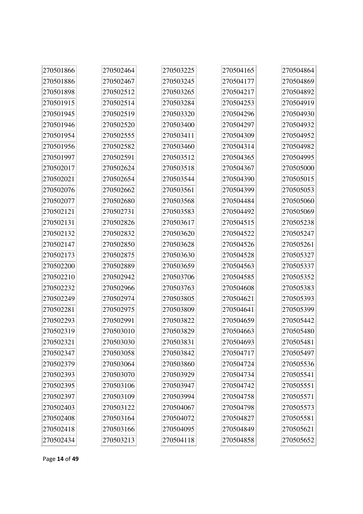| 270501866 | 270502464 | 270503225 | 270504165 | 270504864 |
|-----------|-----------|-----------|-----------|-----------|
| 270501886 | 270502467 | 270503245 | 270504177 | 270504869 |
| 270501898 | 270502512 | 270503265 | 270504217 | 270504892 |
| 270501915 | 270502514 | 270503284 | 270504253 | 270504919 |
| 270501945 | 270502519 | 270503320 | 270504296 | 270504930 |
| 270501946 | 270502520 | 270503400 | 270504297 | 270504932 |
| 270501954 | 270502555 | 270503411 | 270504309 | 270504952 |
| 270501956 | 270502582 | 270503460 | 270504314 | 270504982 |
| 270501997 | 270502591 | 270503512 | 270504365 | 270504995 |
| 270502017 | 270502624 | 270503518 | 270504367 | 270505000 |
| 270502021 | 270502654 | 270503544 | 270504390 | 270505015 |
| 270502076 | 270502662 | 270503561 | 270504399 | 270505053 |
| 270502077 | 270502680 | 270503568 | 270504484 | 270505060 |
| 270502121 | 270502731 | 270503583 | 270504492 | 270505069 |
| 270502131 | 270502826 | 270503617 | 270504515 | 270505238 |
| 270502132 | 270502832 | 270503620 | 270504522 | 270505247 |
| 270502147 | 270502850 | 270503628 | 270504526 | 270505261 |
| 270502173 | 270502875 | 270503630 | 270504528 | 270505327 |
| 270502200 | 270502889 | 270503659 | 270504563 | 270505337 |
| 270502210 | 270502942 | 270503706 | 270504585 | 270505352 |
| 270502232 | 270502966 | 270503763 | 270504608 | 270505383 |
| 270502249 | 270502974 | 270503805 | 270504621 | 270505393 |
| 270502281 | 270502975 | 270503809 | 270504641 | 270505399 |
| 270502293 | 270502991 | 270503822 | 270504659 | 270505442 |
| 270502319 | 270503010 | 270503829 | 270504663 | 270505480 |
| 270502321 | 270503030 | 270503831 | 270504693 | 270505481 |
| 270502347 | 270503058 | 270503842 | 270504717 | 270505497 |
| 270502379 | 270503064 | 270503860 | 270504724 | 270505536 |
| 270502393 | 270503070 | 270503929 | 270504734 | 270505541 |
| 270502395 | 270503106 | 270503947 | 270504742 | 270505551 |
| 270502397 | 270503109 | 270503994 | 270504758 | 270505571 |
| 270502403 | 270503122 | 270504067 | 270504798 | 270505573 |
| 270502408 | 270503164 | 270504072 | 270504827 | 270505581 |
| 270502418 | 270503166 | 270504095 | 270504849 | 270505621 |
| 270502434 | 270503213 | 270504118 | 270504858 | 270505652 |

Page **14** of **49**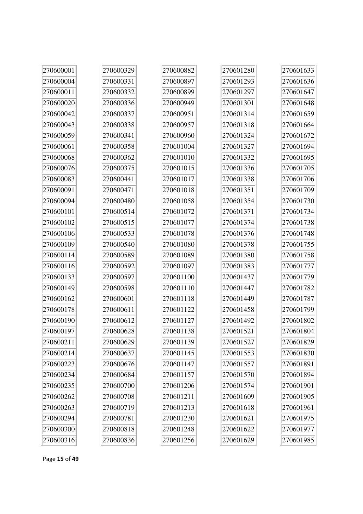| 270600001 | 270600329 | 270600882 | 270601280 | 270601633                |
|-----------|-----------|-----------|-----------|--------------------------|
| 270600004 | 270600331 | 270600897 | 270601293 | 270601636                |
| 270600011 | 270600332 | 270600899 | 270601297 | 270601647                |
| 270600020 | 270600336 | 270600949 | 270601301 | 270601648                |
| 270600042 | 270600337 | 270600951 | 270601314 | 270601659                |
| 270600043 | 270600338 | 270600957 | 270601318 | 270601664                |
| 270600059 | 270600341 | 270600960 | 270601324 | 270601672                |
| 270600061 | 270600358 | 270601004 | 270601327 | 270601694                |
| 270600068 | 270600362 | 270601010 | 270601332 | 270601695                |
| 270600076 | 270600375 | 270601015 | 270601336 | 270601705                |
| 270600083 | 270600441 | 270601017 | 270601338 | 270601706                |
| 270600091 | 270600471 | 270601018 | 270601351 | 270601709                |
| 270600094 | 270600480 | 270601058 | 270601354 | 270601730                |
| 270600101 | 270600514 | 270601072 | 270601371 | 270601734                |
| 270600102 | 270600515 | 270601077 | 270601374 | 270601738                |
| 270600106 | 270600533 | 270601078 | 270601376 | 270601748                |
| 270600109 | 270600540 | 270601080 | 270601378 | 270601755                |
| 270600114 | 270600589 | 270601089 | 270601380 | 270601758                |
| 270600116 | 270600592 | 270601097 | 270601383 | 270601777                |
| 270600133 | 270600597 | 270601100 | 270601437 | 270601779                |
| 270600149 | 270600598 | 270601110 | 270601447 | 270601782                |
| 270600162 | 270600601 | 270601118 | 270601449 | 270601787                |
| 270600178 | 270600611 | 270601122 | 270601458 | 270601799                |
| 270600190 | 270600612 | 270601127 | 270601492 | 270601802                |
| 270600197 | 270600628 | 270601138 | 270601521 | 270601804                |
| 270600211 | 270600629 | 270601139 | 270601527 | $\left 270601829\right $ |
| 270600214 | 270600637 | 270601145 | 270601553 | 270601830                |
| 270600223 | 270600676 | 270601147 | 270601557 | 270601891                |
| 270600234 | 270600684 | 270601157 | 270601570 | 270601894                |
| 270600235 | 270600700 | 270601206 | 270601574 | 270601901                |
| 270600262 | 270600708 | 270601211 | 270601609 | 270601905                |
| 270600263 | 270600719 | 270601213 | 270601618 | 270601961                |
| 270600294 | 270600781 | 270601230 | 270601621 | 270601975                |
| 270600300 | 270600818 | 270601248 | 270601622 | 270601977                |
| 270600316 | 270600836 | 270601256 | 270601629 | 270601985                |

Page **15** of **49**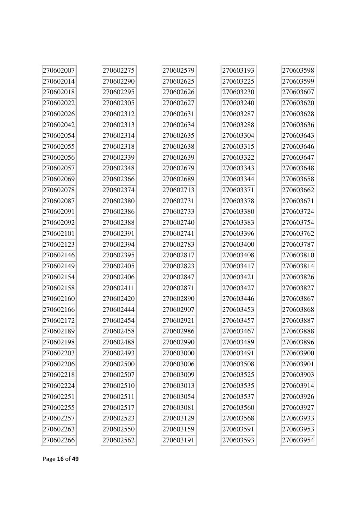| 270602007 | 270602275 | 270602579 | 270603193 | 270603598 |
|-----------|-----------|-----------|-----------|-----------|
| 270602014 | 270602290 | 270602625 | 270603225 | 270603599 |
| 270602018 | 270602295 | 270602626 | 270603230 | 270603607 |
| 270602022 | 270602305 | 270602627 | 270603240 | 270603620 |
| 270602026 | 270602312 | 270602631 | 270603287 | 270603628 |
| 270602042 | 270602313 | 270602634 | 270603288 | 270603636 |
| 270602054 | 270602314 | 270602635 | 270603304 | 270603643 |
| 270602055 | 270602318 | 270602638 | 270603315 | 270603646 |
| 270602056 | 270602339 | 270602639 | 270603322 | 270603647 |
| 270602057 | 270602348 | 270602679 | 270603343 | 270603648 |
| 270602069 | 270602366 | 270602689 | 270603344 | 270603658 |
| 270602078 | 270602374 | 270602713 | 270603371 | 270603662 |
| 270602087 | 270602380 | 270602731 | 270603378 | 270603671 |
| 270602091 | 270602386 | 270602733 | 270603380 | 270603724 |
| 270602092 | 270602388 | 270602740 | 270603383 | 270603754 |
| 270602101 | 270602391 | 270602741 | 270603396 | 270603762 |
| 270602123 | 270602394 | 270602783 | 270603400 | 270603787 |
| 270602146 | 270602395 | 270602817 | 270603408 | 270603810 |
| 270602149 | 270602405 | 270602823 | 270603417 | 270603814 |
| 270602154 | 270602406 | 270602847 | 270603421 | 270603826 |
| 270602158 | 270602411 | 270602871 | 270603427 | 270603827 |
| 270602160 | 270602420 | 270602890 | 270603446 | 270603867 |
| 270602166 | 270602444 | 270602907 | 270603453 | 270603868 |
| 270602172 | 270602454 | 270602921 | 270603457 | 270603887 |
| 270602189 | 270602458 | 270602986 | 270603467 | 270603888 |
| 270602198 | 270602488 | 270602990 | 270603489 | 270603896 |
| 270602203 | 270602493 | 270603000 | 270603491 | 270603900 |
| 270602206 | 270602500 | 270603006 | 270603508 | 270603901 |
| 270602218 | 270602507 | 270603009 | 270603525 | 270603903 |
| 270602224 | 270602510 | 270603013 | 270603535 | 270603914 |
| 270602251 | 270602511 | 270603054 | 270603537 | 270603926 |
| 270602255 | 270602517 | 270603081 | 270603560 | 270603927 |
| 270602257 | 270602523 | 270603129 | 270603568 | 270603933 |
| 270602263 | 270602550 | 270603159 | 270603591 | 270603953 |
| 270602266 | 270602562 | 270603191 | 270603593 | 270603954 |

Page **16** of **49**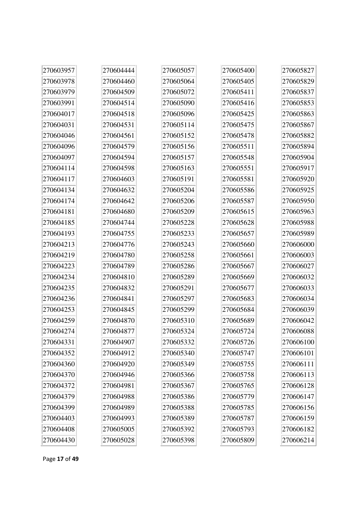| 270603957 | 270604444 | 270605057 | 270605400 | 270605827 |
|-----------|-----------|-----------|-----------|-----------|
| 270603978 | 270604460 | 270605064 | 270605405 | 270605829 |
| 270603979 | 270604509 | 270605072 | 270605411 | 270605837 |
| 270603991 | 270604514 | 270605090 | 270605416 | 270605853 |
| 270604017 | 270604518 | 270605096 | 270605425 | 270605863 |
| 270604031 | 270604531 | 270605114 | 270605475 | 270605867 |
| 270604046 | 270604561 | 270605152 | 270605478 | 270605882 |
| 270604096 | 270604579 | 270605156 | 270605511 | 270605894 |
| 270604097 | 270604594 | 270605157 | 270605548 | 270605904 |
| 270604114 | 270604598 | 270605163 | 270605551 | 270605917 |
| 270604117 | 270604603 | 270605191 | 270605581 | 270605920 |
| 270604134 | 270604632 | 270605204 | 270605586 | 270605925 |
| 270604174 | 270604642 | 270605206 | 270605587 | 270605950 |
| 270604181 | 270604680 | 270605209 | 270605615 | 270605963 |
| 270604185 | 270604744 | 270605228 | 270605628 | 270605988 |
| 270604193 | 270604755 | 270605233 | 270605657 | 270605989 |
| 270604213 | 270604776 | 270605243 | 270605660 | 270606000 |
| 270604219 | 270604780 | 270605258 | 270605661 | 270606003 |
| 270604223 | 270604789 | 270605286 | 270605667 | 270606027 |
| 270604234 | 270604810 | 270605289 | 270605669 | 270606032 |
| 270604235 | 270604832 | 270605291 | 270605677 | 270606033 |
| 270604236 | 270604841 | 270605297 | 270605683 | 270606034 |
| 270604253 | 270604845 | 270605299 | 270605684 | 270606039 |
| 270604259 | 270604870 | 270605310 | 270605689 | 270606042 |
| 270604274 | 270604877 | 270605324 | 270605724 | 270606088 |
| 270604331 | 270604907 | 270605332 | 270605726 | 270606100 |
| 270604352 | 270604912 | 270605340 | 270605747 | 270606101 |
| 270604360 | 270604920 | 270605349 | 270605755 | 270606111 |
| 270604370 | 270604946 | 270605366 | 270605758 | 270606113 |
| 270604372 | 270604981 | 270605367 | 270605765 | 270606128 |
| 270604379 | 270604988 | 270605386 | 270605779 | 270606147 |
| 270604399 | 270604989 | 270605388 | 270605785 | 270606156 |
| 270604403 | 270604993 | 270605389 | 270605787 | 270606159 |
| 270604408 | 270605005 | 270605392 | 270605793 | 270606182 |
| 270604430 | 270605028 | 270605398 | 270605809 | 270606214 |

÷.

à.

Page **17** of **49**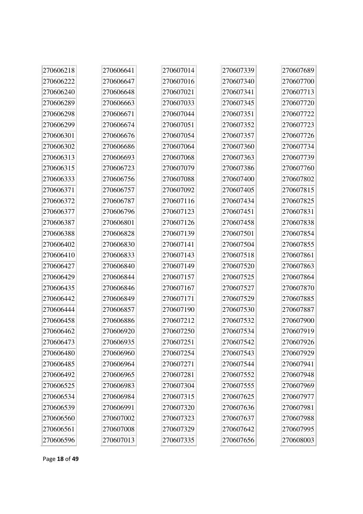| 270606218 | 270606641 | 270607014 | 270607339 | 270607689 |
|-----------|-----------|-----------|-----------|-----------|
| 270606222 | 270606647 | 270607016 | 270607340 | 270607700 |
| 270606240 | 270606648 | 270607021 | 270607341 | 270607713 |
| 270606289 | 270606663 | 270607033 | 270607345 | 270607720 |
| 270606298 | 270606671 | 270607044 | 270607351 | 270607722 |
| 270606299 | 270606674 | 270607051 | 270607352 | 270607723 |
| 270606301 | 270606676 | 270607054 | 270607357 | 270607726 |
| 270606302 | 270606686 | 270607064 | 270607360 | 270607734 |
| 270606313 | 270606693 | 270607068 | 270607363 | 270607739 |
| 270606315 | 270606723 | 270607079 | 270607386 | 270607760 |
| 270606333 | 270606756 | 270607088 | 270607400 | 270607802 |
| 270606371 | 270606757 | 270607092 | 270607405 | 270607815 |
| 270606372 | 270606787 | 270607116 | 270607434 | 270607825 |
| 270606377 | 270606796 | 270607123 | 270607451 | 270607831 |
| 270606387 | 270606801 | 270607126 | 270607458 | 270607838 |
| 270606388 | 270606828 | 270607139 | 270607501 | 270607854 |
| 270606402 | 270606830 | 270607141 | 270607504 | 270607855 |
| 270606410 | 270606833 | 270607143 | 270607518 | 270607861 |
| 270606427 | 270606840 | 270607149 | 270607520 | 270607863 |
| 270606429 | 270606844 | 270607157 | 270607525 | 270607864 |
| 270606435 | 270606846 | 270607167 | 270607527 | 270607870 |
| 270606442 | 270606849 | 270607171 | 270607529 | 270607885 |
| 270606444 | 270606857 | 270607190 | 270607530 | 270607887 |
| 270606458 | 270606886 | 270607212 | 270607532 | 270607900 |
| 270606462 | 270606920 | 270607250 | 270607534 | 270607919 |
| 270606473 | 270606935 | 270607251 | 270607542 | 270607926 |
| 270606480 | 270606960 | 270607254 | 270607543 | 270607929 |
| 270606485 | 270606964 | 270607271 | 270607544 | 270607941 |
| 270606492 | 270606965 | 270607281 | 270607552 | 270607948 |
| 270606525 | 270606983 | 270607304 | 270607555 | 270607969 |
| 270606534 | 270606984 | 270607315 | 270607625 | 270607977 |
| 270606539 | 270606991 | 270607320 | 270607636 | 270607981 |
| 270606560 | 270607002 | 270607323 | 270607637 | 270607988 |
| 270606561 | 270607008 | 270607329 | 270607642 | 270607995 |
| 270606596 | 270607013 | 270607335 | 270607656 | 270608003 |

Page **18** of **49**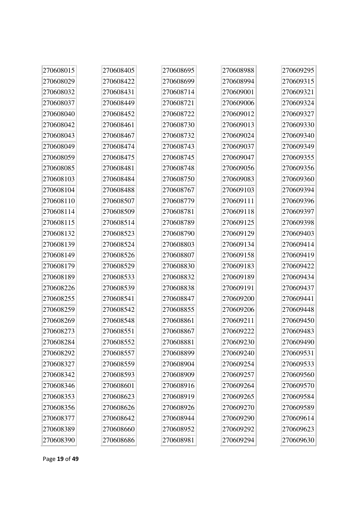| 270608015 | 270608405 | 270608695 | 270608988 | 270609295 |
|-----------|-----------|-----------|-----------|-----------|
| 270608029 | 270608422 | 270608699 | 270608994 | 270609315 |
| 270608032 | 270608431 | 270608714 | 270609001 | 270609321 |
| 270608037 | 270608449 | 270608721 | 270609006 | 270609324 |
| 270608040 | 270608452 | 270608722 | 270609012 | 270609327 |
| 270608042 | 270608461 | 270608730 | 270609013 | 270609330 |
| 270608043 | 270608467 | 270608732 | 270609024 | 270609340 |
| 270608049 | 270608474 | 270608743 | 270609037 | 270609349 |
| 270608059 | 270608475 | 270608745 | 270609047 | 270609355 |
| 270608085 | 270608481 | 270608748 | 270609056 | 270609356 |
| 270608103 | 270608484 | 270608750 | 270609083 | 270609360 |
| 270608104 | 270608488 | 270608767 | 270609103 | 270609394 |
| 270608110 | 270608507 | 270608779 | 270609111 | 270609396 |
| 270608114 | 270608509 | 270608781 | 270609118 | 270609397 |
| 270608115 | 270608514 | 270608789 | 270609125 | 270609398 |
| 270608132 | 270608523 | 270608790 | 270609129 | 270609403 |
| 270608139 | 270608524 | 270608803 | 270609134 | 270609414 |
| 270608149 | 270608526 | 270608807 | 270609158 | 270609419 |
| 270608179 | 270608529 | 270608830 | 270609183 | 270609422 |
| 270608189 | 270608533 | 270608832 | 270609189 | 270609434 |
| 270608226 | 270608539 | 270608838 | 270609191 | 270609437 |
| 270608255 | 270608541 | 270608847 | 270609200 | 270609441 |
| 270608259 | 270608542 | 270608855 | 270609206 | 270609448 |
| 270608269 | 270608548 | 270608861 | 270609211 | 270609450 |
| 270608273 | 270608551 | 270608867 | 270609222 | 270609483 |
| 270608284 | 270608552 | 270608881 | 270609230 | 270609490 |
| 270608292 | 270608557 | 270608899 | 270609240 | 270609531 |
| 270608327 | 270608559 | 270608904 | 270609254 | 270609533 |
| 270608342 | 270608593 | 270608909 | 270609257 | 270609560 |
| 270608346 | 270608601 | 270608916 | 270609264 | 270609570 |
| 270608353 | 270608623 | 270608919 | 270609265 | 270609584 |
| 270608356 | 270608626 | 270608926 | 270609270 | 270609589 |
| 270608377 | 270608642 | 270608944 | 270609290 | 270609614 |
| 270608389 | 270608660 | 270608952 | 270609292 | 270609623 |
| 270608390 | 270608686 | 270608981 | 270609294 | 270609630 |

 $\overline{a}$ 

 $\overline{1}$ 

Ī.

 $\rightarrow$ 

 $\overline{a}$ 

ħ

Ī.

Page **19** of **49**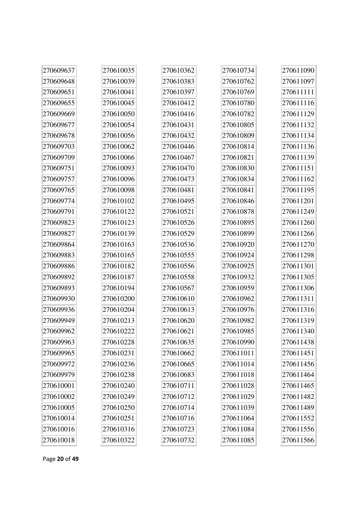| 270609637 | 270610035 | 270610362 | 270610734 | 270611090 |
|-----------|-----------|-----------|-----------|-----------|
| 270609648 | 270610039 | 270610383 | 270610762 | 270611097 |
| 270609651 | 270610041 | 270610397 | 270610769 | 270611111 |
| 270609655 | 270610045 | 270610412 | 270610780 | 270611116 |
| 270609669 | 270610050 | 270610416 | 270610782 | 270611129 |
| 270609677 | 270610054 | 270610431 | 270610805 | 270611132 |
| 270609678 | 270610056 | 270610432 | 270610809 | 270611134 |
| 270609703 | 270610062 | 270610446 | 270610814 | 270611136 |
| 270609709 | 270610066 | 270610467 | 270610821 | 270611139 |
| 270609751 | 270610093 | 270610470 | 270610830 | 270611151 |
| 270609757 | 270610096 | 270610473 | 270610834 | 270611162 |
| 270609765 | 270610098 | 270610481 | 270610841 | 270611195 |
| 270609774 | 270610102 | 270610495 | 270610846 | 270611201 |
| 270609791 | 270610122 | 270610521 | 270610878 | 270611249 |
| 270609823 | 270610123 | 270610526 | 270610895 | 270611260 |
| 270609827 | 270610139 | 270610529 | 270610899 | 270611266 |
| 270609864 | 270610163 | 270610536 | 270610920 | 270611270 |
| 270609883 | 270610165 | 270610555 | 270610924 | 270611298 |
| 270609886 | 270610182 | 270610556 | 270610925 | 270611301 |
| 270609892 | 270610187 | 270610558 | 270610932 | 270611305 |
| 270609893 | 270610194 | 270610567 | 270610959 | 270611306 |
| 270609930 | 270610200 | 270610610 | 270610962 | 270611311 |
| 270609936 | 270610204 | 270610613 | 270610976 | 270611316 |
| 270609949 | 270610213 | 270610620 | 270610982 | 270611319 |
| 270609962 | 270610222 | 270610621 | 270610985 | 270611340 |
| 270609963 | 270610228 | 270610635 | 270610990 | 270611438 |
| 270609965 | 270610231 | 270610662 | 270611011 | 270611451 |
| 270609972 | 270610236 | 270610665 | 270611014 | 270611456 |
| 270609979 | 270610238 | 270610683 | 270611018 | 270611464 |
| 270610001 | 270610240 | 270610711 | 270611028 | 270611465 |
| 270610002 | 270610249 | 270610712 | 270611029 | 270611482 |
| 270610005 | 270610250 | 270610714 | 270611039 | 270611489 |
| 270610014 | 270610251 | 270610716 | 270611064 | 270611552 |
| 270610016 | 270610316 | 270610723 | 270611084 | 270611556 |
| 270610018 | 270610322 | 270610732 | 270611085 | 270611566 |

à.

Page **20** of **49**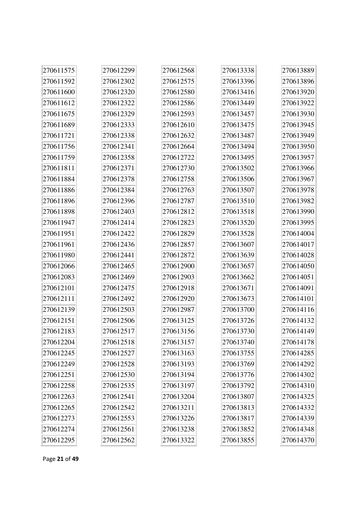| 270611575 | 270612299 | 270612568 | 270613338 | 270613889 |
|-----------|-----------|-----------|-----------|-----------|
| 270611592 | 270612302 | 270612575 | 270613396 | 270613896 |
| 270611600 | 270612320 | 270612580 | 270613416 | 270613920 |
| 270611612 | 270612322 | 270612586 | 270613449 | 270613922 |
| 270611675 | 270612329 | 270612593 | 270613457 | 270613930 |
| 270611689 | 270612333 | 270612610 | 270613475 | 270613945 |
| 270611721 | 270612338 | 270612632 | 270613487 | 270613949 |
| 270611756 | 270612341 | 270612664 | 270613494 | 270613950 |
| 270611759 | 270612358 | 270612722 | 270613495 | 270613957 |
| 270611811 | 270612371 | 270612730 | 270613502 | 270613966 |
| 270611884 | 270612378 | 270612758 | 270613506 | 270613967 |
| 270611886 | 270612384 | 270612763 | 270613507 | 270613978 |
| 270611896 | 270612396 | 270612787 | 270613510 | 270613982 |
| 270611898 | 270612403 | 270612812 | 270613518 | 270613990 |
| 270611947 | 270612414 | 270612823 | 270613520 | 270613995 |
| 270611951 | 270612422 | 270612829 | 270613528 | 270614004 |
| 270611961 | 270612436 | 270612857 | 270613607 | 270614017 |
| 270611980 | 270612441 | 270612872 | 270613639 | 270614028 |
| 270612066 | 270612465 | 270612900 | 270613657 | 270614050 |
| 270612083 | 270612469 | 270612903 | 270613662 | 270614051 |
| 270612101 | 270612475 | 270612918 | 270613671 | 270614091 |
| 270612111 | 270612492 | 270612920 | 270613673 | 270614101 |
| 270612139 | 270612503 | 270612987 | 270613700 | 270614116 |
| 270612151 | 270612506 | 270613125 | 270613726 | 270614132 |
| 270612183 | 270612517 | 270613156 | 270613730 | 270614149 |
| 270612204 | 270612518 | 270613157 | 270613740 | 270614178 |
| 270612245 | 270612527 | 270613163 | 270613755 | 270614285 |
| 270612249 | 270612528 | 270613193 | 270613769 | 270614292 |
| 270612251 | 270612530 | 270613194 | 270613776 | 270614302 |
| 270612258 | 270612535 | 270613197 | 270613792 | 270614310 |
| 270612263 | 270612541 | 270613204 | 270613807 | 270614325 |
| 270612265 | 270612542 | 270613211 | 270613813 | 270614332 |
| 270612273 | 270612553 | 270613226 | 270613817 | 270614339 |
| 270612274 | 270612561 | 270613238 | 270613852 | 270614348 |
| 270612295 | 270612562 | 270613322 | 270613855 | 270614370 |

Page **21** of **49**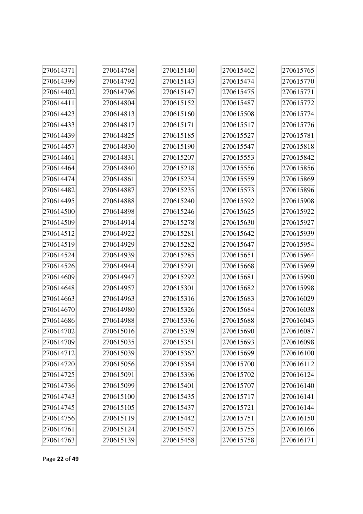| 270614371 | 270614768 | 270615140 | 270615462 | 270615765 |
|-----------|-----------|-----------|-----------|-----------|
| 270614399 | 270614792 | 270615143 | 270615474 | 270615770 |
| 270614402 | 270614796 | 270615147 | 270615475 | 270615771 |
| 270614411 | 270614804 | 270615152 | 270615487 | 270615772 |
| 270614423 | 270614813 | 270615160 | 270615508 | 270615774 |
| 270614433 | 270614817 | 270615171 | 270615517 | 270615776 |
| 270614439 | 270614825 | 270615185 | 270615527 | 270615781 |
| 270614457 | 270614830 | 270615190 | 270615547 | 270615818 |
| 270614461 | 270614831 | 270615207 | 270615553 | 270615842 |
| 270614464 | 270614840 | 270615218 | 270615556 | 270615856 |
| 270614474 | 270614861 | 270615234 | 270615559 | 270615869 |
| 270614482 | 270614887 | 270615235 | 270615573 | 270615896 |
| 270614495 | 270614888 | 270615240 | 270615592 | 270615908 |
| 270614500 | 270614898 | 270615246 | 270615625 | 270615922 |
| 270614509 | 270614914 | 270615278 | 270615630 | 270615927 |
| 270614512 | 270614922 | 270615281 | 270615642 | 270615939 |
| 270614519 | 270614929 | 270615282 | 270615647 | 270615954 |
| 270614524 | 270614939 | 270615285 | 270615651 | 270615964 |
| 270614526 | 270614944 | 270615291 | 270615668 | 270615969 |
| 270614609 | 270614947 | 270615292 | 270615681 | 270615990 |
| 270614648 | 270614957 | 270615301 | 270615682 | 270615998 |
| 270614663 | 270614963 | 270615316 | 270615683 | 270616029 |
| 270614670 | 270614980 | 270615326 | 270615684 | 270616038 |
| 270614686 | 270614988 | 270615336 | 270615688 | 270616043 |
| 270614702 | 270615016 | 270615339 | 270615690 | 270616087 |
| 270614709 | 270615035 | 270615351 | 270615693 | 270616098 |
| 270614712 | 270615039 | 270615362 | 270615699 | 270616100 |
| 270614720 | 270615056 | 270615364 | 270615700 | 270616112 |
| 270614725 | 270615091 | 270615396 | 270615702 | 270616124 |
| 270614736 | 270615099 | 270615401 | 270615707 | 270616140 |
| 270614743 | 270615100 | 270615435 | 270615717 | 270616141 |
| 270614745 | 270615105 | 270615437 | 270615721 | 270616144 |
| 270614756 | 270615119 | 270615442 | 270615751 | 270616150 |
| 270614761 | 270615124 | 270615457 | 270615755 | 270616166 |
| 270614763 | 270615139 | 270615458 | 270615758 | 270616171 |

Page **22** of **49**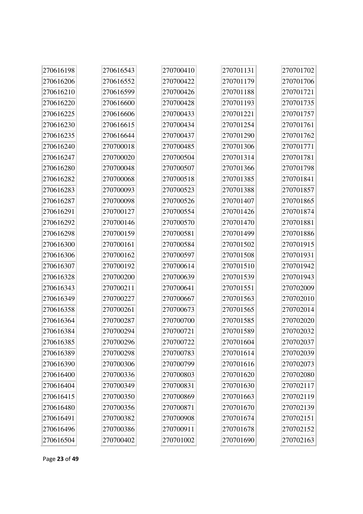| 270616198 | 270616543 | 270700410 | 270701131 | 270701702 |
|-----------|-----------|-----------|-----------|-----------|
| 270616206 | 270616552 | 270700422 | 270701179 | 270701706 |
| 270616210 | 270616599 | 270700426 | 270701188 | 270701721 |
| 270616220 | 270616600 | 270700428 | 270701193 | 270701735 |
| 270616225 | 270616606 | 270700433 | 270701221 | 270701757 |
| 270616230 | 270616615 | 270700434 | 270701254 | 270701761 |
| 270616235 | 270616644 | 270700437 | 270701290 | 270701762 |
| 270616240 | 270700018 | 270700485 | 270701306 | 270701771 |
| 270616247 | 270700020 | 270700504 | 270701314 | 270701781 |
| 270616280 | 270700048 | 270700507 | 270701366 | 270701798 |
| 270616282 | 270700068 | 270700518 | 270701385 | 270701841 |
| 270616283 | 270700093 | 270700523 | 270701388 | 270701857 |
| 270616287 | 270700098 | 270700526 | 270701407 | 270701865 |
| 270616291 | 270700127 | 270700554 | 270701426 | 270701874 |
| 270616292 | 270700146 | 270700570 | 270701470 | 270701881 |
| 270616298 | 270700159 | 270700581 | 270701499 | 270701886 |
| 270616300 | 270700161 | 270700584 | 270701502 | 270701915 |
| 270616306 | 270700162 | 270700597 | 270701508 | 270701931 |
| 270616307 | 270700192 | 270700614 | 270701510 | 270701942 |
| 270616328 | 270700200 | 270700639 | 270701539 | 270701943 |
| 270616343 | 270700211 | 270700641 | 270701551 | 270702009 |
| 270616349 | 270700227 | 270700667 | 270701563 | 270702010 |
| 270616358 | 270700261 | 270700673 | 270701565 | 270702014 |
| 270616364 | 270700287 | 270700700 | 270701585 | 270702020 |
| 270616384 | 270700294 | 270700721 | 270701589 | 270702032 |
| 270616385 | 270700296 | 270700722 | 270701604 | 270702037 |
| 270616389 | 270700298 | 270700783 | 270701614 | 270702039 |
| 270616390 | 270700306 | 270700799 | 270701616 | 270702073 |
| 270616400 | 270700336 | 270700803 | 270701620 | 270702080 |
| 270616404 | 270700349 | 270700831 | 270701630 | 270702117 |
| 270616415 | 270700350 | 270700869 | 270701663 | 270702119 |
| 270616480 | 270700356 | 270700871 | 270701670 | 270702139 |
| 270616491 | 270700382 | 270700908 | 270701674 | 270702151 |
| 270616496 | 270700386 | 270700911 | 270701678 | 270702152 |
| 270616504 | 270700402 | 270701002 | 270701690 | 270702163 |

Page **23** of **49**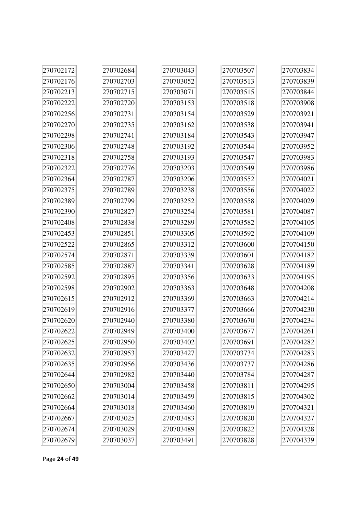| 270702172 | 270702684 | 270703043 | 270703507 | 270703834 |
|-----------|-----------|-----------|-----------|-----------|
| 270702176 | 270702703 | 270703052 | 270703513 | 270703839 |
| 270702213 | 270702715 | 270703071 | 270703515 | 270703844 |
| 270702222 | 270702720 | 270703153 | 270703518 | 270703908 |
| 270702256 | 270702731 | 270703154 | 270703529 | 270703921 |
| 270702270 | 270702735 | 270703162 | 270703538 | 270703941 |
| 270702298 | 270702741 | 270703184 | 270703543 | 270703947 |
| 270702306 | 270702748 | 270703192 | 270703544 | 270703952 |
| 270702318 | 270702758 | 270703193 | 270703547 | 270703983 |
| 270702322 | 270702776 | 270703203 | 270703549 | 270703986 |
| 270702364 | 270702787 | 270703206 | 270703552 | 270704021 |
| 270702375 | 270702789 | 270703238 | 270703556 | 270704022 |
| 270702389 | 270702799 | 270703252 | 270703558 | 270704029 |
| 270702390 | 270702827 | 270703254 | 270703581 | 270704087 |
| 270702408 | 270702838 | 270703289 | 270703582 | 270704105 |
| 270702453 | 270702851 | 270703305 | 270703592 | 270704109 |
| 270702522 | 270702865 | 270703312 | 270703600 | 270704150 |
| 270702574 | 270702871 | 270703339 | 270703601 | 270704182 |
| 270702585 | 270702887 | 270703341 | 270703628 | 270704189 |
| 270702592 | 270702895 | 270703356 | 270703633 | 270704195 |
| 270702598 | 270702902 | 270703363 | 270703648 | 270704208 |
| 270702615 | 270702912 | 270703369 | 270703663 | 270704214 |
| 270702619 | 270702916 | 270703377 | 270703666 | 270704230 |
| 270702620 | 270702940 | 270703380 | 270703670 | 270704234 |
| 270702622 | 270702949 | 270703400 | 270703677 | 270704261 |
| 270702625 | 270702950 | 270703402 | 270703691 | 270704282 |
| 270702632 | 270702953 | 270703427 | 270703734 | 270704283 |
| 270702635 | 270702956 | 270703436 | 270703737 | 270704286 |
| 270702644 | 270702982 | 270703440 | 270703784 | 270704287 |
| 270702650 | 270703004 | 270703458 | 270703811 | 270704295 |
| 270702662 | 270703014 | 270703459 | 270703815 | 270704302 |
| 270702664 | 270703018 | 270703460 | 270703819 | 270704321 |
| 270702667 | 270703025 | 270703483 | 270703820 | 270704327 |
| 270702674 | 270703029 | 270703489 | 270703822 | 270704328 |
| 270702679 | 270703037 | 270703491 | 270703828 | 270704339 |

Page **24** of **49**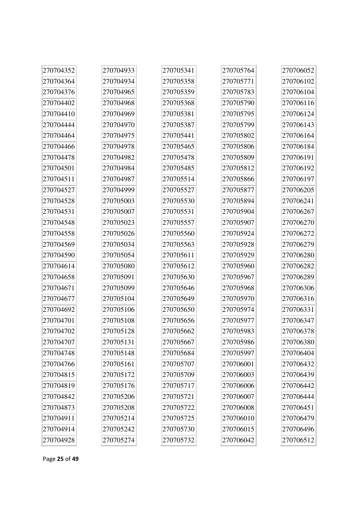| 270704352 | 270704933 | 270705341 | 270705764 | 270706052 |
|-----------|-----------|-----------|-----------|-----------|
| 270704364 | 270704934 | 270705358 | 270705771 | 270706102 |
| 270704376 | 270704965 | 270705359 | 270705783 | 270706104 |
| 270704402 | 270704968 | 270705368 | 270705790 | 270706116 |
| 270704410 | 270704969 | 270705381 | 270705795 | 270706124 |
| 270704444 | 270704970 | 270705387 | 270705799 | 270706143 |
| 270704464 | 270704975 | 270705441 | 270705802 | 270706164 |
| 270704466 | 270704978 | 270705465 | 270705806 | 270706184 |
| 270704478 | 270704982 | 270705478 | 270705809 | 270706191 |
| 270704501 | 270704984 | 270705485 | 270705812 | 270706192 |
| 270704511 | 270704987 | 270705514 | 270705866 | 270706197 |
| 270704527 | 270704999 | 270705527 | 270705877 | 270706205 |
| 270704528 | 270705003 | 270705530 | 270705894 | 270706241 |
| 270704531 | 270705007 | 270705531 | 270705904 | 270706267 |
| 270704548 | 270705023 | 270705557 | 270705907 | 270706270 |
| 270704558 | 270705026 | 270705560 | 270705924 | 270706272 |
| 270704569 | 270705034 | 270705563 | 270705928 | 270706279 |
| 270704590 | 270705054 | 270705611 | 270705929 | 270706280 |
| 270704614 | 270705080 | 270705612 | 270705960 | 270706282 |
| 270704658 | 270705091 | 270705630 | 270705967 | 270706289 |
| 270704671 | 270705099 | 270705646 | 270705968 | 270706306 |
| 270704677 | 270705104 | 270705649 | 270705970 | 270706316 |
| 270704692 | 270705106 | 270705650 | 270705974 | 270706331 |
| 270704701 | 270705108 | 270705656 | 270705977 | 270706347 |
| 270704702 | 270705128 | 270705662 | 270705983 | 270706378 |
| 270704707 | 270705131 | 270705667 | 270705986 | 270706380 |
| 270704748 | 270705148 | 270705684 | 270705997 | 270706404 |
| 270704766 | 270705161 | 270705707 | 270706001 | 270706432 |
| 270704815 | 270705172 | 270705709 | 270706003 | 270706439 |
| 270704819 | 270705176 | 270705717 | 270706006 | 270706442 |
| 270704842 | 270705206 | 270705721 | 270706007 | 270706444 |
| 270704873 | 270705208 | 270705722 | 270706008 | 270706451 |
| 270704911 | 270705214 | 270705725 | 270706010 | 270706479 |
| 270704914 | 270705242 | 270705730 | 270706015 | 270706496 |
| 270704928 | 270705274 | 270705732 | 270706042 | 270706512 |

Page **25** of **49**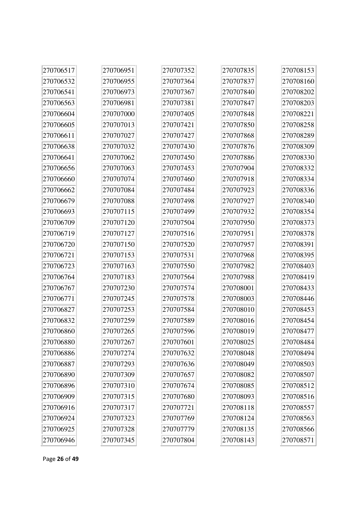| 270706517 | 270706951 | 270707352 | 270707835 | 270708153 |
|-----------|-----------|-----------|-----------|-----------|
| 270706532 | 270706955 | 270707364 | 270707837 | 270708160 |
| 270706541 | 270706973 | 270707367 | 270707840 | 270708202 |
| 270706563 | 270706981 | 270707381 | 270707847 | 270708203 |
| 270706604 | 270707000 | 270707405 | 270707848 | 270708221 |
| 270706605 | 270707013 | 270707421 | 270707850 | 270708258 |
| 270706611 | 270707027 | 270707427 | 270707868 | 270708289 |
| 270706638 | 270707032 | 270707430 | 270707876 | 270708309 |
| 270706641 | 270707062 | 270707450 | 270707886 | 270708330 |
| 270706656 | 270707063 | 270707453 | 270707904 | 270708332 |
| 270706660 | 270707074 | 270707460 | 270707918 | 270708334 |
| 270706662 | 270707084 | 270707484 | 270707923 | 270708336 |
| 270706679 | 270707088 | 270707498 | 270707927 | 270708340 |
| 270706693 | 270707115 | 270707499 | 270707932 | 270708354 |
| 270706709 | 270707120 | 270707504 | 270707950 | 270708373 |
| 270706719 | 270707127 | 270707516 | 270707951 | 270708378 |
| 270706720 | 270707150 | 270707520 | 270707957 | 270708391 |
| 270706721 | 270707153 | 270707531 | 270707968 | 270708395 |
| 270706723 | 270707163 | 270707550 | 270707982 | 270708403 |
| 270706764 | 270707183 | 270707564 | 270707988 | 270708419 |
| 270706767 | 270707230 | 270707574 | 270708001 | 270708433 |
| 270706771 | 270707245 | 270707578 | 270708003 | 270708446 |
| 270706827 | 270707253 | 270707584 | 270708010 | 270708453 |
| 270706832 | 270707259 | 270707589 | 270708016 | 270708454 |
| 270706860 | 270707265 | 270707596 | 270708019 | 270708477 |
| 270706880 | 270707267 | 270707601 | 270708025 | 270708484 |
| 270706886 | 270707274 | 270707632 | 270708048 | 270708494 |
| 270706887 | 270707293 | 270707636 | 270708049 | 270708503 |
| 270706890 | 270707309 | 270707657 | 270708082 | 270708507 |
| 270706896 | 270707310 | 270707674 | 270708085 | 270708512 |
| 270706909 | 270707315 | 270707680 | 270708093 | 270708516 |
| 270706916 | 270707317 | 270707721 | 270708118 | 270708557 |
| 270706924 | 270707323 | 270707769 | 270708124 | 270708563 |
| 270706925 | 270707328 | 270707779 | 270708135 | 270708566 |
| 270706946 | 270707345 | 270707804 | 270708143 | 270708571 |

Page **26** of **49**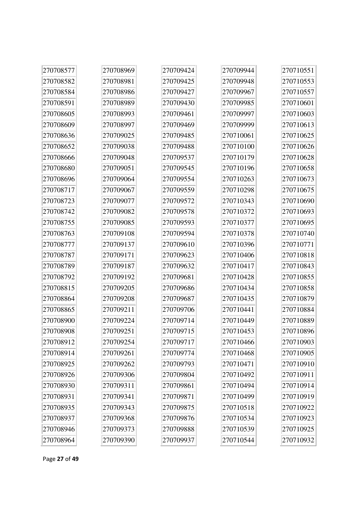| 270708577 | 270708969 | 270709424 | 270709944 | 270710551 |
|-----------|-----------|-----------|-----------|-----------|
| 270708582 | 270708981 | 270709425 | 270709948 | 270710553 |
| 270708584 | 270708986 | 270709427 | 270709967 | 270710557 |
| 270708591 | 270708989 | 270709430 | 270709985 | 270710601 |
| 270708605 | 270708993 | 270709461 | 270709997 | 270710603 |
| 270708609 | 270708997 | 270709469 | 270709999 | 270710613 |
| 270708636 | 270709025 | 270709485 | 270710061 | 270710625 |
| 270708652 | 270709038 | 270709488 | 270710100 | 270710626 |
| 270708666 | 270709048 | 270709537 | 270710179 | 270710628 |
| 270708680 | 270709051 | 270709545 | 270710196 | 270710658 |
| 270708696 | 270709064 | 270709554 | 270710263 | 270710673 |
| 270708717 | 270709067 | 270709559 | 270710298 | 270710675 |
| 270708723 | 270709077 | 270709572 | 270710343 | 270710690 |
| 270708742 | 270709082 | 270709578 | 270710372 | 270710693 |
| 270708755 | 270709085 | 270709593 | 270710377 | 270710695 |
| 270708763 | 270709108 | 270709594 | 270710378 | 270710740 |
| 270708777 | 270709137 | 270709610 | 270710396 | 270710771 |
| 270708787 | 270709171 | 270709623 | 270710406 | 270710818 |
| 270708789 | 270709187 | 270709632 | 270710417 | 270710843 |
| 270708792 | 270709192 | 270709681 | 270710428 | 270710855 |
| 270708815 | 270709205 | 270709686 | 270710434 | 270710858 |
| 270708864 | 270709208 | 270709687 | 270710435 | 270710879 |
| 270708865 | 270709211 | 270709706 | 270710441 | 270710884 |
| 270708900 | 270709224 | 270709714 | 270710449 | 270710889 |
| 270708908 | 270709251 | 270709715 | 270710453 | 270710896 |
| 270708912 | 270709254 | 270709717 | 270710466 | 270710903 |
| 270708914 | 270709261 | 270709774 | 270710468 | 270710905 |
| 270708925 | 270709262 | 270709793 | 270710471 | 270710910 |
| 270708926 | 270709306 | 270709804 | 270710492 | 270710911 |
| 270708930 | 270709311 | 270709861 | 270710494 | 270710914 |
| 270708931 | 270709341 | 270709871 | 270710499 | 270710919 |
| 270708935 | 270709343 | 270709875 | 270710518 | 270710922 |
| 270708937 | 270709368 | 270709876 | 270710534 | 270710923 |
| 270708946 | 270709373 | 270709888 | 270710539 | 270710925 |
| 270708964 | 270709390 | 270709937 | 270710544 | 270710932 |

 $\overline{1}$ 

Ī.

 $\rightarrow$ 

 $\overline{a}$ 

h

 $\overline{a}$ 

F

÷.

Page **27** of **49**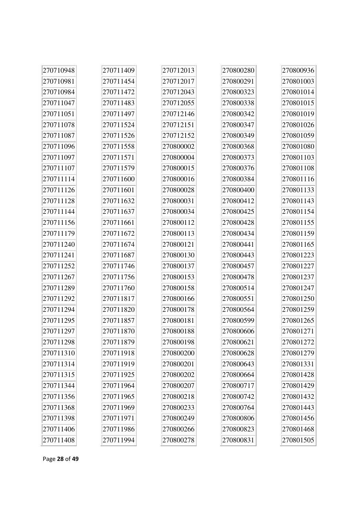| 270710948 | 270711409 | 270712013 | 270800280 | 270800936 |
|-----------|-----------|-----------|-----------|-----------|
| 270710981 | 270711454 | 270712017 | 270800291 | 270801003 |
| 270710984 | 270711472 | 270712043 | 270800323 | 270801014 |
| 270711047 | 270711483 | 270712055 | 270800338 | 270801015 |
| 270711051 | 270711497 | 270712146 | 270800342 | 270801019 |
| 270711078 | 270711524 | 270712151 | 270800347 | 270801026 |
| 270711087 | 270711526 | 270712152 | 270800349 | 270801059 |
| 270711096 | 270711558 | 270800002 | 270800368 | 270801080 |
| 270711097 | 270711571 | 270800004 | 270800373 | 270801103 |
| 270711107 | 270711579 | 270800015 | 270800376 | 270801108 |
| 270711114 | 270711600 | 270800016 | 270800384 | 270801116 |
| 270711126 | 270711601 | 270800028 | 270800400 | 270801133 |
| 270711128 | 270711632 | 270800031 | 270800412 | 270801143 |
| 270711144 | 270711637 | 270800034 | 270800425 | 270801154 |
| 270711156 | 270711661 | 270800112 | 270800428 | 270801155 |
| 270711179 | 270711672 | 270800113 | 270800434 | 270801159 |
| 270711240 | 270711674 | 270800121 | 270800441 | 270801165 |
| 270711241 | 270711687 | 270800130 | 270800443 | 270801223 |
| 270711252 | 270711746 | 270800137 | 270800457 | 270801227 |
| 270711267 | 270711756 | 270800153 | 270800478 | 270801237 |
| 270711289 | 270711760 | 270800158 | 270800514 | 270801247 |
| 270711292 | 270711817 | 270800166 | 270800551 | 270801250 |
| 270711294 | 270711820 | 270800178 | 270800564 | 270801259 |
| 270711295 | 270711857 | 270800181 | 270800599 | 270801265 |
| 270711297 | 270711870 | 270800188 | 270800606 | 270801271 |
| 270711298 | 270711879 | 270800198 | 270800621 | 270801272 |
| 270711310 | 270711918 | 270800200 | 270800628 | 270801279 |
| 270711314 | 270711919 | 270800201 | 270800643 | 270801331 |
| 270711315 | 270711925 | 270800202 | 270800664 | 270801428 |
| 270711344 | 270711964 | 270800207 | 270800717 | 270801429 |
| 270711356 | 270711965 | 270800218 | 270800742 | 270801432 |
| 270711368 | 270711969 | 270800233 | 270800764 | 270801443 |
| 270711398 | 270711971 | 270800249 | 270800806 | 270801456 |
| 270711406 | 270711986 | 270800266 | 270800823 | 270801468 |
| 270711408 | 270711994 | 270800278 | 270800831 | 270801505 |

Page **28** of **49**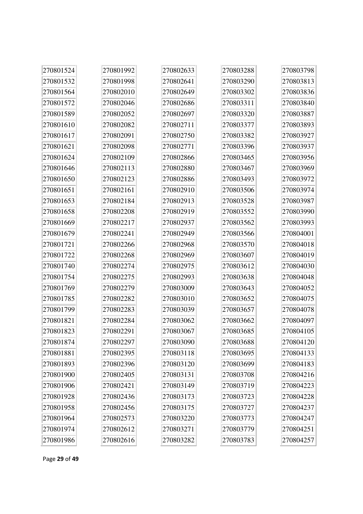| 270801524 | 270801992 | 270802633 | 270803288 | 270803798 |
|-----------|-----------|-----------|-----------|-----------|
| 270801532 | 270801998 | 270802641 | 270803290 | 270803813 |
| 270801564 | 270802010 | 270802649 | 270803302 | 270803836 |
| 270801572 | 270802046 | 270802686 | 270803311 | 270803840 |
| 270801589 | 270802052 | 270802697 | 270803320 | 270803887 |
| 270801610 | 270802082 | 270802711 | 270803377 | 270803893 |
| 270801617 | 270802091 | 270802750 | 270803382 | 270803927 |
| 270801621 | 270802098 | 270802771 | 270803396 | 270803937 |
| 270801624 | 270802109 | 270802866 | 270803465 | 270803956 |
| 270801646 | 270802113 | 270802880 | 270803467 | 270803969 |
| 270801650 | 270802123 | 270802886 | 270803493 | 270803972 |
| 270801651 | 270802161 | 270802910 | 270803506 | 270803974 |
| 270801653 | 270802184 | 270802913 | 270803528 | 270803987 |
| 270801658 | 270802208 | 270802919 | 270803552 | 270803990 |
| 270801669 | 270802217 | 270802937 | 270803562 | 270803993 |
| 270801679 | 270802241 | 270802949 | 270803566 | 270804001 |
| 270801721 | 270802266 | 270802968 | 270803570 | 270804018 |
| 270801722 | 270802268 | 270802969 | 270803607 | 270804019 |
| 270801740 | 270802274 | 270802975 | 270803612 | 270804030 |
| 270801754 | 270802275 | 270802993 | 270803638 | 270804048 |
| 270801769 | 270802279 | 270803009 | 270803643 | 270804052 |
| 270801785 | 270802282 | 270803010 | 270803652 | 270804075 |
| 270801799 | 270802283 | 270803039 | 270803657 | 270804078 |
| 270801821 | 270802284 | 270803062 | 270803662 | 270804097 |
| 270801823 | 270802291 | 270803067 | 270803685 | 270804105 |
| 270801874 | 270802297 | 270803090 | 270803688 | 270804120 |
| 270801881 | 270802395 | 270803118 | 270803695 | 270804133 |
| 270801893 | 270802396 | 270803120 | 270803699 | 270804183 |
| 270801900 | 270802405 | 270803131 | 270803708 | 270804216 |
| 270801906 | 270802421 | 270803149 | 270803719 | 270804223 |
| 270801928 | 270802436 | 270803173 | 270803723 | 270804228 |
| 270801958 | 270802456 | 270803175 | 270803727 | 270804237 |
| 270801964 | 270802573 | 270803220 | 270803773 | 270804247 |
| 270801974 | 270802612 | 270803271 | 270803779 | 270804251 |
| 270801986 | 270802616 | 270803282 | 270803783 | 270804257 |

÷.

Page **29** of **49**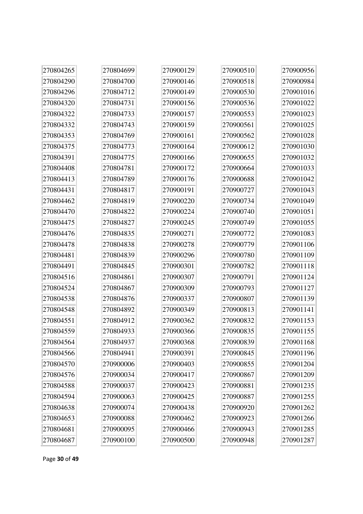| 270804265 | 270804699 | 270900129 | 270900510 | 270900956 |
|-----------|-----------|-----------|-----------|-----------|
| 270804290 | 270804700 | 270900146 | 270900518 | 270900984 |
| 270804296 | 270804712 | 270900149 | 270900530 | 270901016 |
| 270804320 | 270804731 | 270900156 | 270900536 | 270901022 |
| 270804322 | 270804733 | 270900157 | 270900553 | 270901023 |
| 270804332 | 270804743 | 270900159 | 270900561 | 270901025 |
| 270804353 | 270804769 | 270900161 | 270900562 | 270901028 |
| 270804375 | 270804773 | 270900164 | 270900612 | 270901030 |
| 270804391 | 270804775 | 270900166 | 270900655 | 270901032 |
| 270804408 | 270804781 | 270900172 | 270900664 | 270901033 |
| 270804413 | 270804789 | 270900176 | 270900688 | 270901042 |
| 270804431 | 270804817 | 270900191 | 270900727 | 270901043 |
| 270804462 | 270804819 | 270900220 | 270900734 | 270901049 |
| 270804470 | 270804822 | 270900224 | 270900740 | 270901051 |
| 270804475 | 270804827 | 270900245 | 270900749 | 270901055 |
| 270804476 | 270804835 | 270900271 | 270900772 | 270901083 |
| 270804478 | 270804838 | 270900278 | 270900779 | 270901106 |
| 270804481 | 270804839 | 270900296 | 270900780 | 270901109 |
| 270804491 | 270804845 | 270900301 | 270900782 | 270901118 |
| 270804516 | 270804861 | 270900307 | 270900791 | 270901124 |
| 270804524 | 270804867 | 270900309 | 270900793 | 270901127 |
| 270804538 | 270804876 | 270900337 | 270900807 | 270901139 |
| 270804548 | 270804892 | 270900349 | 270900813 | 270901141 |
| 270804551 | 270804912 | 270900362 | 270900832 | 270901153 |
| 270804559 | 270804933 | 270900366 | 270900835 | 270901155 |
| 270804564 | 270804937 | 270900368 | 270900839 | 270901168 |
| 270804566 | 270804941 | 270900391 | 270900845 | 270901196 |
| 270804570 | 270900006 | 270900403 | 270900855 | 270901204 |
| 270804576 | 270900034 | 270900417 | 270900867 | 270901209 |
| 270804588 | 270900037 | 270900423 | 270900881 | 270901235 |
| 270804594 | 270900063 | 270900425 | 270900887 | 270901255 |
| 270804638 | 270900074 | 270900438 | 270900920 | 270901262 |
| 270804653 | 270900088 | 270900462 | 270900923 | 270901266 |
| 270804681 | 270900095 | 270900466 | 270900943 | 270901285 |
| 270804687 | 270900100 | 270900500 | 270900948 | 270901287 |

à.

Page **30** of **49**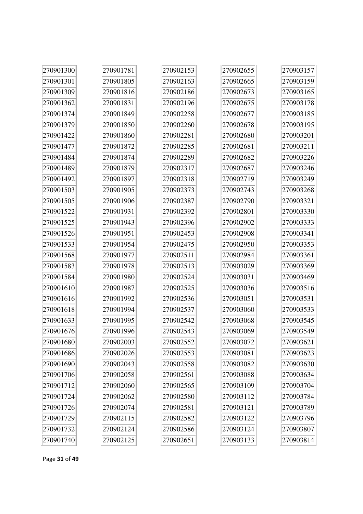| 270901300 | 270901781 | 270902153 | 270902655 | 270903157 |
|-----------|-----------|-----------|-----------|-----------|
| 270901301 | 270901805 | 270902163 | 270902665 | 270903159 |
| 270901309 | 270901816 | 270902186 | 270902673 | 270903165 |
| 270901362 | 270901831 | 270902196 | 270902675 | 270903178 |
| 270901374 | 270901849 | 270902258 | 270902677 | 270903185 |
| 270901379 | 270901850 | 270902260 | 270902678 | 270903195 |
| 270901422 | 270901860 | 270902281 | 270902680 | 270903201 |
| 270901477 | 270901872 | 270902285 | 270902681 | 270903211 |
| 270901484 | 270901874 | 270902289 | 270902682 | 270903226 |
| 270901489 | 270901879 | 270902317 | 270902687 | 270903246 |
| 270901492 | 270901897 | 270902318 | 270902719 | 270903249 |
| 270901503 | 270901905 | 270902373 | 270902743 | 270903268 |
| 270901505 | 270901906 | 270902387 | 270902790 | 270903321 |
| 270901522 | 270901931 | 270902392 | 270902801 | 270903330 |
| 270901525 | 270901943 | 270902396 | 270902902 | 270903333 |
| 270901526 | 270901951 | 270902453 | 270902908 | 270903341 |
| 270901533 | 270901954 | 270902475 | 270902950 | 270903353 |
| 270901568 | 270901977 | 270902511 | 270902984 | 270903361 |
| 270901583 | 270901978 | 270902513 | 270903029 | 270903369 |
| 270901584 | 270901980 | 270902524 | 270903031 | 270903469 |
| 270901610 | 270901987 | 270902525 | 270903036 | 270903516 |
| 270901616 | 270901992 | 270902536 | 270903051 | 270903531 |
| 270901618 | 270901994 | 270902537 | 270903060 | 270903533 |
| 270901633 | 270901995 | 270902542 | 270903068 | 270903545 |
| 270901676 | 270901996 | 270902543 | 270903069 | 270903549 |
| 270901680 | 270902003 | 270902552 | 270903072 | 270903621 |
| 270901686 | 270902026 | 270902553 | 270903081 | 270903623 |
| 270901690 | 270902043 | 270902558 | 270903082 | 270903630 |
| 270901706 | 270902058 | 270902561 | 270903088 | 270903634 |
| 270901712 | 270902060 | 270902565 | 270903109 | 270903704 |
| 270901724 | 270902062 | 270902580 | 270903112 | 270903784 |
| 270901726 | 270902074 | 270902581 | 270903121 | 270903789 |
| 270901729 | 270902115 | 270902582 | 270903122 | 270903796 |
| 270901732 | 270902124 | 270902586 | 270903124 | 270903807 |
| 270901740 | 270902125 | 270902651 | 270903133 | 270903814 |

Page **31** of **49**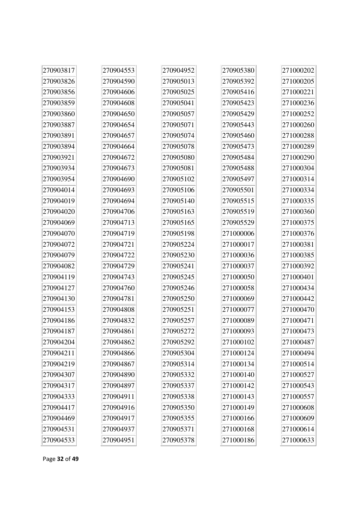| 270903817 | 270904553 | 270904952 | 270905380 | 271000202 |
|-----------|-----------|-----------|-----------|-----------|
| 270903826 | 270904590 | 270905013 | 270905392 | 271000205 |
| 270903856 | 270904606 | 270905025 | 270905416 | 271000221 |
| 270903859 | 270904608 | 270905041 | 270905423 | 271000236 |
| 270903860 | 270904650 | 270905057 | 270905429 | 271000252 |
| 270903887 | 270904654 | 270905071 | 270905443 | 271000260 |
| 270903891 | 270904657 | 270905074 | 270905460 | 271000288 |
| 270903894 | 270904664 | 270905078 | 270905473 | 271000289 |
| 270903921 | 270904672 | 270905080 | 270905484 | 271000290 |
| 270903934 | 270904673 | 270905081 | 270905488 | 271000304 |
| 270903954 | 270904690 | 270905102 | 270905497 | 271000314 |
| 270904014 | 270904693 | 270905106 | 270905501 | 271000334 |
| 270904019 | 270904694 | 270905140 | 270905515 | 271000335 |
| 270904020 | 270904706 | 270905163 | 270905519 | 271000360 |
| 270904069 | 270904713 | 270905165 | 270905529 | 271000375 |
| 270904070 | 270904719 | 270905198 | 271000006 | 271000376 |
| 270904072 | 270904721 | 270905224 | 271000017 | 271000381 |
| 270904079 | 270904722 | 270905230 | 271000036 | 271000385 |
| 270904082 | 270904729 | 270905241 | 271000037 | 271000392 |
| 270904119 | 270904743 | 270905245 | 271000050 | 271000401 |
| 270904127 | 270904760 | 270905246 | 271000058 | 271000434 |
| 270904130 | 270904781 | 270905250 | 271000069 | 271000442 |
| 270904153 | 270904808 | 270905251 | 271000077 | 271000470 |
| 270904186 | 270904832 | 270905257 | 271000089 | 271000471 |
| 270904187 | 270904861 | 270905272 | 271000093 | 271000473 |
| 270904204 | 270904862 | 270905292 | 271000102 | 271000487 |
| 270904211 | 270904866 | 270905304 | 271000124 | 271000494 |
| 270904219 | 270904867 | 270905314 | 271000134 | 271000514 |
| 270904307 | 270904890 | 270905332 | 271000140 | 271000527 |
| 270904317 | 270904897 | 270905337 | 271000142 | 271000543 |
| 270904333 | 270904911 | 270905338 | 271000143 | 271000557 |
| 270904417 | 270904916 | 270905350 | 271000149 | 271000608 |
| 270904469 | 270904917 | 270905355 | 271000166 | 271000609 |
| 270904531 | 270904937 | 270905371 | 271000168 | 271000614 |
| 270904533 | 270904951 | 270905378 | 271000186 | 271000633 |

Page **32** of **49**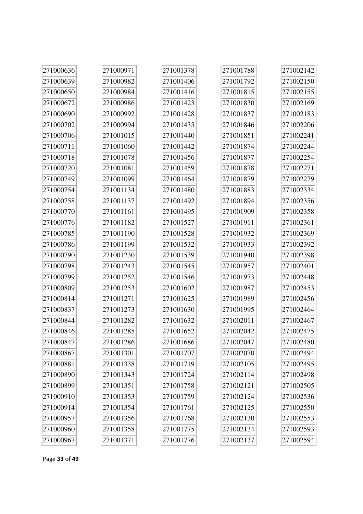| 271000636 | 271000971 | 271001378 | 271001788 | 271002142 |
|-----------|-----------|-----------|-----------|-----------|
| 271000639 | 271000982 | 271001406 | 271001792 | 271002150 |
| 271000650 | 271000984 | 271001416 | 271001815 | 271002155 |
| 271000672 | 271000986 | 271001423 | 271001830 | 271002169 |
| 271000690 | 271000992 | 271001428 | 271001837 | 271002183 |
| 271000702 | 271000994 | 271001435 | 271001846 | 271002206 |
| 271000706 | 271001015 | 271001440 | 271001851 | 271002241 |
| 271000711 | 271001060 | 271001442 | 271001874 | 271002244 |
| 271000718 | 271001078 | 271001456 | 271001877 | 271002254 |
| 271000720 | 271001081 | 271001459 | 271001878 | 271002271 |
| 271000749 | 271001099 | 271001464 | 271001879 | 271002279 |
| 271000754 | 271001134 | 271001480 | 271001883 | 271002334 |
| 271000758 | 271001137 | 271001492 | 271001894 | 271002356 |
| 271000770 | 271001161 | 271001495 | 271001909 | 271002358 |
| 271000776 | 271001182 | 271001527 | 271001911 | 271002361 |
| 271000785 | 271001190 | 271001528 | 271001932 | 271002369 |
| 271000786 | 271001199 | 271001532 | 271001933 | 271002392 |
| 271000790 | 271001230 | 271001539 | 271001940 | 271002398 |
| 271000798 | 271001243 | 271001545 | 271001957 | 271002401 |
| 271000799 | 271001252 | 271001546 | 271001973 | 271002448 |
| 271000809 | 271001253 | 271001602 | 271001987 | 271002453 |
| 271000814 | 271001271 | 271001625 | 271001989 | 271002456 |
| 271000837 | 271001273 | 271001630 | 271001995 | 271002464 |
| 271000844 | 271001282 | 271001632 | 271002011 | 271002467 |
| 271000846 | 271001285 | 271001652 | 271002042 | 271002475 |
| 271000847 | 271001286 | 271001686 | 271002047 | 271002480 |
| 271000867 | 271001301 | 271001707 | 271002070 | 271002494 |
| 271000881 | 271001338 | 271001719 | 271002105 | 271002495 |
| 271000890 | 271001343 | 271001724 | 271002114 | 271002498 |
| 271000899 | 271001351 | 271001758 | 271002121 | 271002505 |
| 271000910 | 271001353 | 271001759 | 271002124 | 271002536 |
| 271000914 | 271001354 | 271001761 | 271002125 | 271002550 |
| 271000957 | 271001356 | 271001768 | 271002130 | 271002553 |
| 271000960 | 271001358 | 271001775 | 271002134 | 271002593 |
| 271000967 | 271001371 | 271001776 | 271002137 | 271002594 |

Page **33** of **49**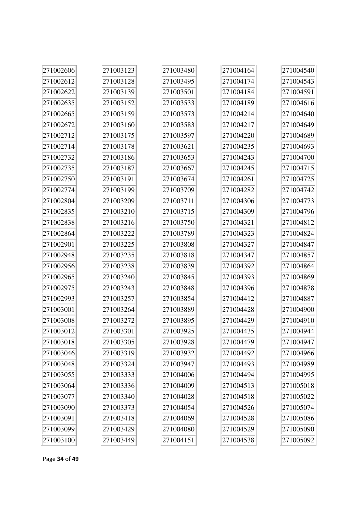| 271002606 | 271003123 | 271003480 | 271004164 | 271004540 |
|-----------|-----------|-----------|-----------|-----------|
| 271002612 | 271003128 | 271003495 | 271004174 | 271004543 |
| 271002622 | 271003139 | 271003501 | 271004184 | 271004591 |
| 271002635 | 271003152 | 271003533 | 271004189 | 271004616 |
| 271002665 | 271003159 | 271003573 | 271004214 | 271004640 |
| 271002672 | 271003160 | 271003583 | 271004217 | 271004649 |
| 271002712 | 271003175 | 271003597 | 271004220 | 271004689 |
| 271002714 | 271003178 | 271003621 | 271004235 | 271004693 |
| 271002732 | 271003186 | 271003653 | 271004243 | 271004700 |
| 271002735 | 271003187 | 271003667 | 271004245 | 271004715 |
| 271002750 | 271003191 | 271003674 | 271004261 | 271004725 |
| 271002774 | 271003199 | 271003709 | 271004282 | 271004742 |
| 271002804 | 271003209 | 271003711 | 271004306 | 271004773 |
| 271002835 | 271003210 | 271003715 | 271004309 | 271004796 |
| 271002838 | 271003216 | 271003750 | 271004321 | 271004812 |
| 271002864 | 271003222 | 271003789 | 271004323 | 271004824 |
| 271002901 | 271003225 | 271003808 | 271004327 | 271004847 |
| 271002948 | 271003235 | 271003818 | 271004347 | 271004857 |
| 271002956 | 271003238 | 271003839 | 271004392 | 271004864 |
| 271002965 | 271003240 | 271003845 | 271004393 | 271004869 |
| 271002975 | 271003243 | 271003848 | 271004396 | 271004878 |
| 271002993 | 271003257 | 271003854 | 271004412 | 271004887 |
| 271003001 | 271003264 | 271003889 | 271004428 | 271004900 |
| 271003008 | 271003272 | 271003895 | 271004429 | 271004910 |
| 271003012 | 271003301 | 271003925 | 271004435 | 271004944 |
| 271003018 | 271003305 | 271003928 | 271004479 | 271004947 |
| 271003046 | 271003319 | 271003932 | 271004492 | 271004966 |
| 271003048 | 271003324 | 271003947 | 271004493 | 271004989 |
| 271003055 | 271003333 | 271004006 | 271004494 | 271004995 |
| 271003064 | 271003336 | 271004009 | 271004513 | 271005018 |
| 271003077 | 271003340 | 271004028 | 271004518 | 271005022 |
| 271003090 | 271003373 | 271004054 | 271004526 | 271005074 |
| 271003091 | 271003418 | 271004069 | 271004528 | 271005086 |
| 271003099 | 271003429 | 271004080 | 271004529 | 271005090 |
| 271003100 | 271003449 | 271004151 | 271004538 | 271005092 |

Page **34** of **49**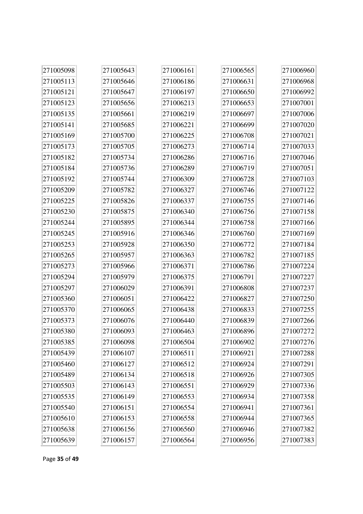| 271005098 | 271005643 | 271006161 | 271006565 | 271006960 |
|-----------|-----------|-----------|-----------|-----------|
| 271005113 | 271005646 | 271006186 | 271006631 | 271006968 |
| 271005121 | 271005647 | 271006197 | 271006650 | 271006992 |
| 271005123 | 271005656 | 271006213 | 271006653 | 271007001 |
| 271005135 | 271005661 | 271006219 | 271006697 | 271007006 |
| 271005141 | 271005685 | 271006221 | 271006699 | 271007020 |
| 271005169 | 271005700 | 271006225 | 271006708 | 271007021 |
| 271005173 | 271005705 | 271006273 | 271006714 | 271007033 |
| 271005182 | 271005734 | 271006286 | 271006716 | 271007046 |
| 271005184 | 271005736 | 271006289 | 271006719 | 271007051 |
| 271005192 | 271005744 | 271006309 | 271006728 | 271007103 |
| 271005209 | 271005782 | 271006327 | 271006746 | 271007122 |
| 271005225 | 271005826 | 271006337 | 271006755 | 271007146 |
| 271005230 | 271005875 | 271006340 | 271006756 | 271007158 |
| 271005244 | 271005895 | 271006344 | 271006758 | 271007166 |
| 271005245 | 271005916 | 271006346 | 271006760 | 271007169 |
| 271005253 | 271005928 | 271006350 | 271006772 | 271007184 |
| 271005265 | 271005957 | 271006363 | 271006782 | 271007185 |
| 271005273 | 271005966 | 271006371 | 271006786 | 271007224 |
| 271005294 | 271005979 | 271006375 | 271006791 | 271007227 |
| 271005297 | 271006029 | 271006391 | 271006808 | 271007237 |
| 271005360 | 271006051 | 271006422 | 271006827 | 271007250 |
| 271005370 | 271006065 | 271006438 | 271006833 | 271007255 |
| 271005373 | 271006076 | 271006440 | 271006839 | 271007266 |
| 271005380 | 271006093 | 271006463 | 271006896 | 271007272 |
| 271005385 | 271006098 | 271006504 | 271006902 | 271007276 |
| 271005439 | 271006107 | 271006511 | 271006921 | 271007288 |
| 271005460 | 271006127 | 271006512 | 271006924 | 271007291 |
| 271005489 | 271006134 | 271006518 | 271006926 | 271007305 |
| 271005503 | 271006143 | 271006551 | 271006929 | 271007336 |
| 271005535 | 271006149 | 271006553 | 271006934 | 271007358 |
| 271005540 | 271006151 | 271006554 | 271006941 | 271007361 |
| 271005610 | 271006153 | 271006558 | 271006944 | 271007365 |
| 271005638 | 271006156 | 271006560 | 271006946 | 271007382 |
| 271005639 | 271006157 | 271006564 | 271006956 | 271007383 |

Page **35** of **49**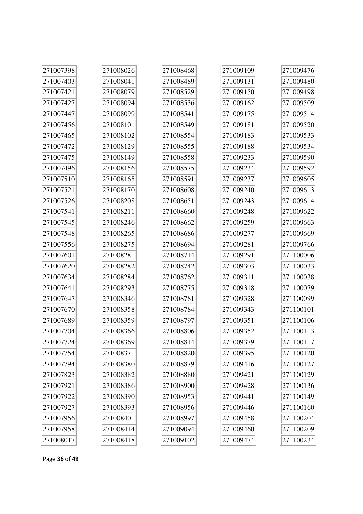| 271007398 | 271008026 | 271008468 | 271009109 | 271009476 |
|-----------|-----------|-----------|-----------|-----------|
| 271007403 | 271008041 | 271008489 | 271009131 | 271009480 |
| 271007421 | 271008079 | 271008529 | 271009150 | 271009498 |
| 271007427 | 271008094 | 271008536 | 271009162 | 271009509 |
| 271007447 | 271008099 | 271008541 | 271009175 | 271009514 |
| 271007456 | 271008101 | 271008549 | 271009181 | 271009520 |
| 271007465 | 271008102 | 271008554 | 271009183 | 271009533 |
| 271007472 | 271008129 | 271008555 | 271009188 | 271009534 |
| 271007475 | 271008149 | 271008558 | 271009233 | 271009590 |
| 271007496 | 271008156 | 271008575 | 271009234 | 271009592 |
| 271007510 | 271008165 | 271008591 | 271009237 | 271009605 |
| 271007521 | 271008170 | 271008608 | 271009240 | 271009613 |
| 271007526 | 271008208 | 271008651 | 271009243 | 271009614 |
| 271007541 | 271008211 | 271008660 | 271009248 | 271009622 |
| 271007545 | 271008246 | 271008662 | 271009259 | 271009663 |
| 271007548 | 271008265 | 271008686 | 271009277 | 271009669 |
| 271007556 | 271008275 | 271008694 | 271009281 | 271009766 |
| 271007601 | 271008281 | 271008714 | 271009291 | 271100006 |
| 271007620 | 271008282 | 271008742 | 271009303 | 271100033 |
| 271007634 | 271008284 | 271008762 | 271009311 | 271100038 |
| 271007641 | 271008293 | 271008775 | 271009318 | 271100079 |
| 271007647 | 271008346 | 271008781 | 271009328 | 271100099 |
| 271007670 | 271008358 | 271008784 | 271009343 | 271100101 |
| 271007689 | 271008359 | 271008797 | 271009351 | 271100106 |
| 271007704 | 271008366 | 271008806 | 271009352 | 271100113 |
| 271007724 | 271008369 | 271008814 | 271009379 | 271100117 |
| 271007754 | 271008371 | 271008820 | 271009395 | 271100120 |
| 271007794 | 271008380 | 271008879 | 271009416 | 271100127 |
| 271007823 | 271008382 | 271008880 | 271009421 | 271100129 |
| 271007921 | 271008386 | 271008900 | 271009428 | 271100136 |
| 271007922 | 271008390 | 271008953 | 271009441 | 271100149 |
| 271007927 | 271008393 | 271008956 | 271009446 | 271100160 |
| 271007956 | 271008401 | 271008997 | 271009458 | 271100204 |
| 271007958 | 271008414 | 271009094 | 271009460 | 271100209 |
| 271008017 | 271008418 | 271009102 | 271009474 | 271100234 |

Page **36** of **49**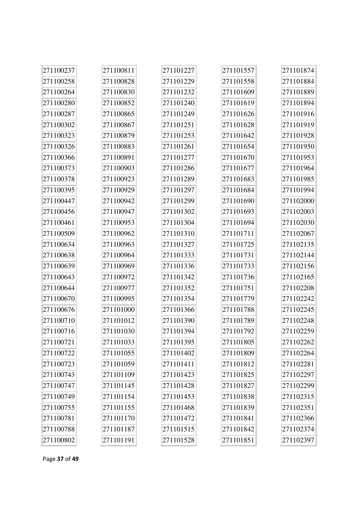| 271100237 | 271100811 | 271101227 | 271101557 | 271101874 |
|-----------|-----------|-----------|-----------|-----------|
| 271100258 | 271100828 | 271101229 | 271101558 | 271101884 |
| 271100264 | 271100830 | 271101232 | 271101609 | 271101889 |
| 271100280 | 271100852 | 271101240 | 271101619 | 271101894 |
| 271100287 | 271100865 | 271101249 | 271101626 | 271101916 |
| 271100302 | 271100867 | 271101251 | 271101628 | 271101919 |
| 271100323 | 271100879 | 271101253 | 271101642 | 271101928 |
| 271100326 | 271100883 | 271101261 | 271101654 | 271101950 |
| 271100366 | 271100891 | 271101277 | 271101670 | 271101953 |
| 271100373 | 271100903 | 271101286 | 271101677 | 271101964 |
| 271100378 | 271100923 | 271101289 | 271101683 | 271101985 |
| 271100395 | 271100929 | 271101297 | 271101684 | 271101994 |
| 271100447 | 271100942 | 271101299 | 271101690 | 271102000 |
| 271100456 | 271100947 | 271101302 | 271101693 | 271102003 |
| 271100461 | 271100953 | 271101304 | 271101694 | 271102030 |
| 271100509 | 271100962 | 271101310 | 271101711 | 271102067 |
| 271100634 | 271100963 | 271101327 | 271101725 | 271102135 |
| 271100638 | 271100964 | 271101333 | 271101731 | 271102144 |
| 271100639 | 271100969 | 271101336 | 271101733 | 271102156 |
| 271100643 | 271100972 | 271101342 | 271101736 | 271102165 |
| 271100644 | 271100977 | 271101352 | 271101751 | 271102208 |
| 271100670 | 271100995 | 271101354 | 271101779 | 271102242 |
| 271100676 | 271101000 | 271101366 | 271101788 | 271102245 |
| 271100710 | 271101012 | 271101390 | 271101789 | 271102248 |
| 271100716 | 271101030 | 271101394 | 271101792 | 271102259 |
| 271100721 | 271101033 | 271101395 | 271101805 | 271102262 |
| 271100722 | 271101055 | 271101402 | 271101809 | 271102264 |
| 271100723 | 271101059 | 271101411 | 271101812 | 271102281 |
| 271100743 | 271101109 | 271101423 | 271101825 | 271102297 |
| 271100747 | 271101145 | 271101428 | 271101827 | 271102299 |
| 271100749 | 271101154 | 271101453 | 271101838 | 271102315 |
| 271100755 | 271101155 | 271101468 | 271101839 | 271102351 |
| 271100781 | 271101170 | 271101472 | 271101841 | 271102366 |
| 271100788 | 271101187 | 271101515 | 271101842 | 271102374 |
| 271100802 | 271101191 | 271101528 | 271101851 | 271102397 |

Page **37** of **49**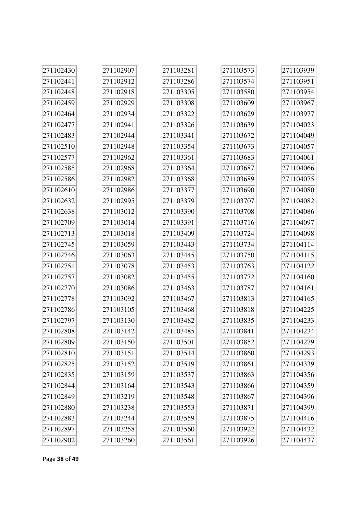| 271102430 | 271102907 | 271103281 | 271103573 | 271103939 |
|-----------|-----------|-----------|-----------|-----------|
| 271102441 | 271102912 | 271103286 | 271103574 | 271103951 |
| 271102448 | 271102918 | 271103305 | 271103580 | 271103954 |
| 271102459 | 271102929 | 271103308 | 271103609 | 271103967 |
| 271102464 | 271102934 | 271103322 | 271103629 | 271103977 |
| 271102477 | 271102941 | 271103326 | 271103639 | 271104023 |
| 271102483 | 271102944 | 271103341 | 271103672 | 271104049 |
| 271102510 | 271102948 | 271103354 | 271103673 | 271104057 |
| 271102577 | 271102962 | 271103361 | 271103683 | 271104061 |
| 271102585 | 271102968 | 271103364 | 271103687 | 271104066 |
| 271102586 | 271102982 | 271103368 | 271103689 | 271104075 |
| 271102610 | 271102986 | 271103377 | 271103690 | 271104080 |
| 271102632 | 271102995 | 271103379 | 271103707 | 271104082 |
| 271102638 | 271103012 | 271103390 | 271103708 | 271104086 |
| 271102709 | 271103014 | 271103391 | 271103716 | 271104097 |
| 271102713 | 271103018 | 271103409 | 271103724 | 271104098 |
| 271102745 | 271103059 | 271103443 | 271103734 | 271104114 |
| 271102746 | 271103063 | 271103445 | 271103750 | 271104115 |
| 271102751 | 271103078 | 271103453 | 271103763 | 271104122 |
| 271102757 | 271103082 | 271103455 | 271103772 | 271104160 |
| 271102770 | 271103086 | 271103463 | 271103787 | 271104161 |
| 271102778 | 271103092 | 271103467 | 271103813 | 271104165 |
| 271102786 | 271103105 | 271103468 | 271103818 | 271104225 |
| 271102797 | 271103130 | 271103482 | 271103835 | 271104233 |
| 271102808 | 271103142 | 271103485 | 271103841 | 271104234 |
| 271102809 | 271103150 | 271103501 | 271103852 | 271104279 |
| 271102810 | 271103151 | 271103514 | 271103860 | 271104293 |
| 271102825 | 271103152 | 271103519 | 271103861 | 271104339 |
| 271102835 | 271103159 | 271103537 | 271103863 | 271104356 |
| 271102844 | 271103164 | 271103543 | 271103866 | 271104359 |
| 271102849 | 271103219 | 271103548 | 271103867 | 271104396 |
| 271102880 | 271103238 | 271103553 | 271103871 | 271104399 |
| 271102883 | 271103244 | 271103559 | 271103875 | 271104416 |
| 271102897 | 271103258 | 271103560 | 271103922 | 271104432 |
| 271102902 | 271103260 | 271103561 | 271103926 | 271104437 |

Page **38** of **49**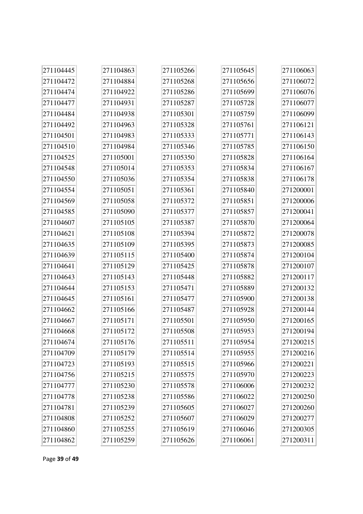| 271104445 | 271104863 | 271105266 | 271105645 | 271106063 |
|-----------|-----------|-----------|-----------|-----------|
| 271104472 | 271104884 | 271105268 | 271105656 | 271106072 |
| 271104474 | 271104922 | 271105286 | 271105699 | 271106076 |
| 271104477 | 271104931 | 271105287 | 271105728 | 271106077 |
| 271104484 | 271104938 | 271105301 | 271105759 | 271106099 |
| 271104492 | 271104963 | 271105328 | 271105761 | 271106121 |
| 271104501 | 271104983 | 271105333 | 271105771 | 271106143 |
| 271104510 | 271104984 | 271105346 | 271105785 | 271106150 |
| 271104525 | 271105001 | 271105350 | 271105828 | 271106164 |
| 271104548 | 271105014 | 271105353 | 271105834 | 271106167 |
| 271104550 | 271105036 | 271105354 | 271105838 | 271106178 |
| 271104554 | 271105051 | 271105361 | 271105840 | 271200001 |
| 271104569 | 271105058 | 271105372 | 271105851 | 271200006 |
| 271104585 | 271105090 | 271105377 | 271105857 | 271200041 |
| 271104607 | 271105105 | 271105387 | 271105870 | 271200064 |
| 271104621 | 271105108 | 271105394 | 271105872 | 271200078 |
| 271104635 | 271105109 | 271105395 | 271105873 | 271200085 |
| 271104639 | 271105115 | 271105400 | 271105874 | 271200104 |
| 271104641 | 271105129 | 271105425 | 271105878 | 271200107 |
| 271104643 | 271105143 | 271105448 | 271105882 | 271200117 |
| 271104644 | 271105153 | 271105471 | 271105889 | 271200132 |
| 271104645 | 271105161 | 271105477 | 271105900 | 271200138 |
| 271104662 | 271105166 | 271105487 | 271105928 | 271200144 |
| 271104667 | 271105171 | 271105501 | 271105950 | 271200165 |
| 271104668 | 271105172 | 271105508 | 271105953 | 271200194 |
| 271104674 | 271105176 | 271105511 | 271105954 | 271200215 |
| 271104709 | 271105179 | 271105514 | 271105955 | 271200216 |
| 271104723 | 271105193 | 271105515 | 271105966 | 271200221 |
| 271104756 | 271105215 | 271105575 | 271105970 | 271200223 |
| 271104777 | 271105230 | 271105578 | 271106006 | 271200232 |
| 271104778 | 271105238 | 271105586 | 271106022 | 271200250 |
| 271104781 | 271105239 | 271105605 | 271106027 | 271200260 |
| 271104808 | 271105252 | 271105607 | 271106029 | 271200277 |
| 271104860 | 271105255 | 271105619 | 271106046 | 271200305 |
| 271104862 | 271105259 | 271105626 | 271106061 | 271200311 |

Page **39** of **49**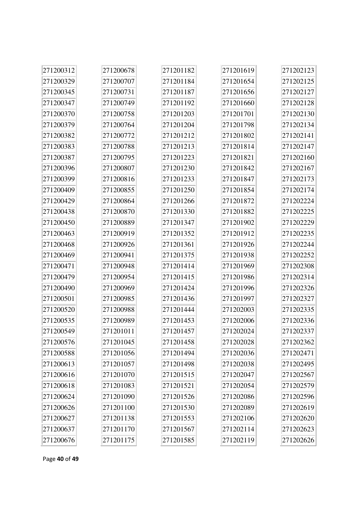| 271200312 | 271200678 | 271201182 | 271201619 | 271202123 |
|-----------|-----------|-----------|-----------|-----------|
| 271200329 | 271200707 | 271201184 | 271201654 | 271202125 |
| 271200345 | 271200731 | 271201187 | 271201656 | 271202127 |
| 271200347 | 271200749 | 271201192 | 271201660 | 271202128 |
| 271200370 | 271200758 | 271201203 | 271201701 | 271202130 |
| 271200379 | 271200764 | 271201204 | 271201798 | 271202134 |
| 271200382 | 271200772 | 271201212 | 271201802 | 271202141 |
| 271200383 | 271200788 | 271201213 | 271201814 | 271202147 |
| 271200387 | 271200795 | 271201223 | 271201821 | 271202160 |
| 271200396 | 271200807 | 271201230 | 271201842 | 271202167 |
| 271200399 | 271200816 | 271201233 | 271201847 | 271202173 |
| 271200409 | 271200855 | 271201250 | 271201854 | 271202174 |
| 271200429 | 271200864 | 271201266 | 271201872 | 271202224 |
| 271200438 | 271200870 | 271201330 | 271201882 | 271202225 |
| 271200450 | 271200889 | 271201347 | 271201902 | 271202229 |
| 271200463 | 271200919 | 271201352 | 271201912 | 271202235 |
| 271200468 | 271200926 | 271201361 | 271201926 | 271202244 |
| 271200469 | 271200941 | 271201375 | 271201938 | 271202252 |
| 271200471 | 271200948 | 271201414 | 271201969 | 271202308 |
| 271200479 | 271200954 | 271201415 | 271201986 | 271202314 |
| 271200490 | 271200969 | 271201424 | 271201996 | 271202326 |
| 271200501 | 271200985 | 271201436 | 271201997 | 271202327 |
| 271200520 | 271200988 | 271201444 | 271202003 | 271202335 |
| 271200535 | 271200989 | 271201453 | 271202006 | 271202336 |
| 271200549 | 271201011 | 271201457 | 271202024 | 271202337 |
| 271200576 | 271201045 | 271201458 | 271202028 | 271202362 |
| 271200588 | 271201056 | 271201494 | 271202036 | 271202471 |
| 271200613 | 271201057 | 271201498 | 271202038 | 271202495 |
| 271200616 | 271201070 | 271201515 | 271202047 | 271202567 |
| 271200618 | 271201083 | 271201521 | 271202054 | 271202579 |
| 271200624 | 271201090 | 271201526 | 271202086 | 271202596 |
| 271200626 | 271201100 | 271201530 | 271202089 | 271202619 |
| 271200627 | 271201138 | 271201553 | 271202106 | 271202620 |
| 271200637 | 271201170 | 271201567 | 271202114 | 271202623 |
| 271200676 | 271201175 | 271201585 | 271202119 | 271202626 |

Page **40** of **49**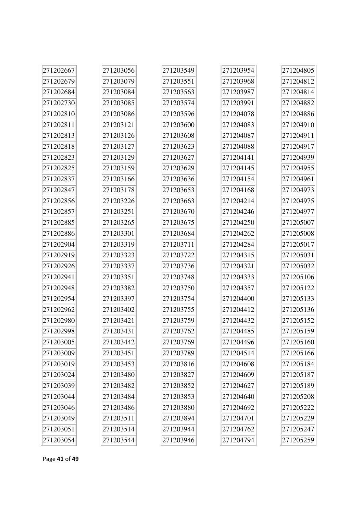| 271202667 | 271203056 | 271203549 | 271203954 | 271204805 |
|-----------|-----------|-----------|-----------|-----------|
| 271202679 | 271203079 | 271203551 | 271203968 | 271204812 |
| 271202684 | 271203084 | 271203563 | 271203987 | 271204814 |
| 271202730 | 271203085 | 271203574 | 271203991 | 271204882 |
| 271202810 | 271203086 | 271203596 | 271204078 | 271204886 |
| 271202811 | 271203121 | 271203600 | 271204083 | 271204910 |
| 271202813 | 271203126 | 271203608 | 271204087 | 271204911 |
| 271202818 | 271203127 | 271203623 | 271204088 | 271204917 |
| 271202823 | 271203129 | 271203627 | 271204141 | 271204939 |
| 271202825 | 271203159 | 271203629 | 271204145 | 271204955 |
| 271202837 | 271203166 | 271203636 | 271204154 | 271204961 |
| 271202847 | 271203178 | 271203653 | 271204168 | 271204973 |
| 271202856 | 271203226 | 271203663 | 271204214 | 271204975 |
| 271202857 | 271203251 | 271203670 | 271204246 | 271204977 |
| 271202885 | 271203265 | 271203675 | 271204250 | 271205007 |
| 271202886 | 271203301 | 271203684 | 271204262 | 271205008 |
| 271202904 | 271203319 | 271203711 | 271204284 | 271205017 |
| 271202919 | 271203323 | 271203722 | 271204315 | 271205031 |
| 271202926 | 271203337 | 271203736 | 271204321 | 271205032 |
| 271202941 | 271203351 | 271203748 | 271204333 | 271205106 |
| 271202948 | 271203382 | 271203750 | 271204357 | 271205122 |
| 271202954 | 271203397 | 271203754 | 271204400 | 271205133 |
| 271202962 | 271203402 | 271203755 | 271204412 | 271205136 |
| 271202980 | 271203421 | 271203759 | 271204432 | 271205152 |
| 271202998 | 271203431 | 271203762 | 271204485 | 271205159 |
| 271203005 | 271203442 | 271203769 | 271204496 | 271205160 |
| 271203009 | 271203451 | 271203789 | 271204514 | 271205166 |
| 271203019 | 271203453 | 271203816 | 271204608 | 271205184 |
| 271203024 | 271203480 | 271203827 | 271204609 | 271205187 |
| 271203039 | 271203482 | 271203852 | 271204627 | 271205189 |
| 271203044 | 271203484 | 271203853 | 271204640 | 271205208 |
| 271203046 | 271203486 | 271203880 | 271204692 | 271205222 |
| 271203049 | 271203511 | 271203894 | 271204701 | 271205229 |
| 271203051 | 271203514 | 271203944 | 271204762 | 271205247 |
| 271203054 | 271203544 | 271203946 | 271204794 | 271205259 |

Page **41** of **49**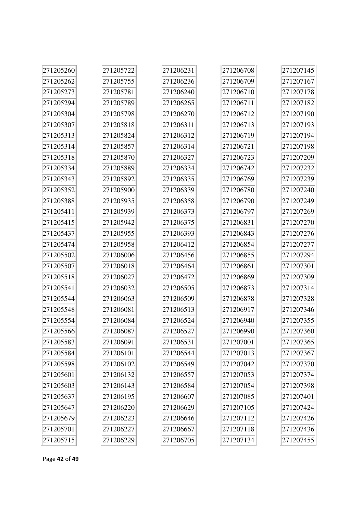| 271205260 | 271205722 | 271206231 | 271206708 | 271207145 |
|-----------|-----------|-----------|-----------|-----------|
| 271205262 | 271205755 | 271206236 | 271206709 | 271207167 |
| 271205273 | 271205781 | 271206240 | 271206710 | 271207178 |
| 271205294 | 271205789 | 271206265 | 271206711 | 271207182 |
| 271205304 | 271205798 | 271206270 | 271206712 | 271207190 |
| 271205307 | 271205818 | 271206311 | 271206713 | 271207193 |
| 271205313 | 271205824 | 271206312 | 271206719 | 271207194 |
| 271205314 | 271205857 | 271206314 | 271206721 | 271207198 |
| 271205318 | 271205870 | 271206327 | 271206723 | 271207209 |
| 271205334 | 271205889 | 271206334 | 271206742 | 271207232 |
| 271205343 | 271205892 | 271206335 | 271206769 | 271207239 |
| 271205352 | 271205900 | 271206339 | 271206780 | 271207240 |
| 271205388 | 271205935 | 271206358 | 271206790 | 271207249 |
| 271205411 | 271205939 | 271206373 | 271206797 | 271207269 |
| 271205415 | 271205942 | 271206375 | 271206831 | 271207270 |
| 271205437 | 271205955 | 271206393 | 271206843 | 271207276 |
| 271205474 | 271205958 | 271206412 | 271206854 | 271207277 |
| 271205502 | 271206006 | 271206456 | 271206855 | 271207294 |
| 271205507 | 271206018 | 271206464 | 271206861 | 271207301 |
| 271205518 | 271206027 | 271206472 | 271206869 | 271207309 |
| 271205541 | 271206032 | 271206505 | 271206873 | 271207314 |
| 271205544 | 271206063 | 271206509 | 271206878 | 271207328 |
| 271205548 | 271206081 | 271206513 | 271206917 | 271207346 |
| 271205554 | 271206084 | 271206524 | 271206940 | 271207355 |
| 271205566 | 271206087 | 271206527 | 271206990 | 271207360 |
| 271205583 | 271206091 | 271206531 | 271207001 | 271207365 |
| 271205584 | 271206101 | 271206544 | 271207013 | 271207367 |
| 271205598 | 271206102 | 271206549 | 271207042 | 271207370 |
| 271205601 | 271206132 | 271206557 | 271207053 | 271207374 |
| 271205603 | 271206143 | 271206584 | 271207054 | 271207398 |
| 271205637 | 271206195 | 271206607 | 271207085 | 271207401 |
| 271205647 | 271206220 | 271206629 | 271207105 | 271207424 |
| 271205679 | 271206223 | 271206646 | 271207112 | 271207426 |
| 271205701 | 271206227 | 271206667 | 271207118 | 271207436 |
| 271205715 | 271206229 | 271206705 | 271207134 | 271207455 |

Page **42** of **49**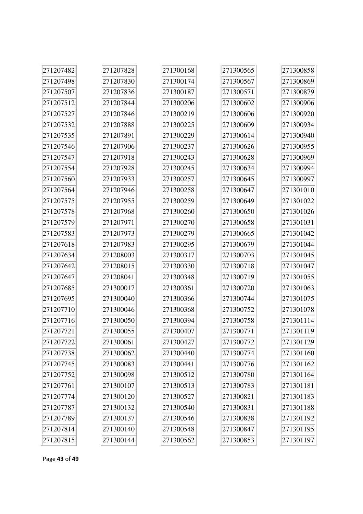| 271207482 | 271207828 | 271300168 | 271300565 | 271300858 |
|-----------|-----------|-----------|-----------|-----------|
| 271207498 | 271207830 | 271300174 | 271300567 | 271300869 |
| 271207507 | 271207836 | 271300187 | 271300571 | 271300879 |
| 271207512 | 271207844 | 271300206 | 271300602 | 271300906 |
| 271207527 | 271207846 | 271300219 | 271300606 | 271300920 |
| 271207532 | 271207888 | 271300225 | 271300609 | 271300934 |
| 271207535 | 271207891 | 271300229 | 271300614 | 271300940 |
| 271207546 | 271207906 | 271300237 | 271300626 | 271300955 |
| 271207547 | 271207918 | 271300243 | 271300628 | 271300969 |
| 271207554 | 271207928 | 271300245 | 271300634 | 271300994 |
| 271207560 | 271207933 | 271300257 | 271300645 | 271300997 |
| 271207564 | 271207946 | 271300258 | 271300647 | 271301010 |
| 271207575 | 271207955 | 271300259 | 271300649 | 271301022 |
| 271207578 | 271207968 | 271300260 | 271300650 | 271301026 |
| 271207579 | 271207971 | 271300270 | 271300658 | 271301031 |
| 271207583 | 271207973 | 271300279 | 271300665 | 271301042 |
| 271207618 | 271207983 | 271300295 | 271300679 | 271301044 |
| 271207634 | 271208003 | 271300317 | 271300703 | 271301045 |
| 271207642 | 271208015 | 271300330 | 271300718 | 271301047 |
| 271207647 | 271208041 | 271300348 | 271300719 | 271301055 |
| 271207685 | 271300017 | 271300361 | 271300720 | 271301063 |
| 271207695 | 271300040 | 271300366 | 271300744 | 271301075 |
| 271207710 | 271300046 | 271300368 | 271300752 | 271301078 |
| 271207716 | 271300050 | 271300394 | 271300758 | 271301114 |
| 271207721 | 271300055 | 271300407 | 271300771 | 271301119 |
| 271207722 | 271300061 | 271300427 | 271300772 | 271301129 |
| 271207738 | 271300062 | 271300440 | 271300774 | 271301160 |
| 271207745 | 271300083 | 271300441 | 271300776 | 271301162 |
| 271207752 | 271300098 | 271300512 | 271300780 | 271301164 |
| 271207761 | 271300107 | 271300513 | 271300783 | 271301181 |
| 271207774 | 271300120 | 271300527 | 271300821 | 271301183 |
| 271207787 | 271300132 | 271300540 | 271300831 | 271301188 |
| 271207789 | 271300137 | 271300546 | 271300838 | 271301192 |
| 271207814 | 271300140 | 271300548 | 271300847 | 271301195 |
| 271207815 | 271300144 | 271300562 | 271300853 | 271301197 |

Page **43** of **49**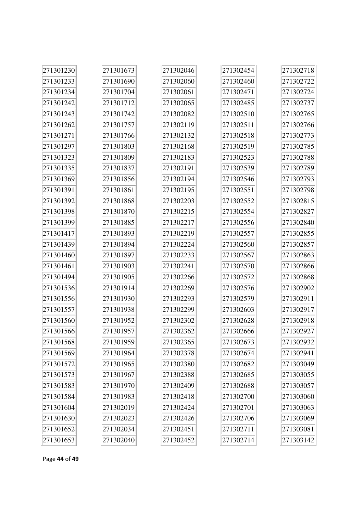| 271301230 | 271301673 | 271302046 | 271302454 | 271302718 |
|-----------|-----------|-----------|-----------|-----------|
| 271301233 | 271301690 | 271302060 | 271302460 | 271302722 |
| 271301234 | 271301704 | 271302061 | 271302471 | 271302724 |
| 271301242 | 271301712 | 271302065 | 271302485 | 271302737 |
| 271301243 | 271301742 | 271302082 | 271302510 | 271302765 |
| 271301262 | 271301757 | 271302119 | 271302511 | 271302766 |
| 271301271 | 271301766 | 271302132 | 271302518 | 271302773 |
| 271301297 | 271301803 | 271302168 | 271302519 | 271302785 |
| 271301323 | 271301809 | 271302183 | 271302523 | 271302788 |
| 271301335 | 271301837 | 271302191 | 271302539 | 271302789 |
| 271301369 | 271301856 | 271302194 | 271302546 | 271302793 |
| 271301391 | 271301861 | 271302195 | 271302551 | 271302798 |
| 271301392 | 271301868 | 271302203 | 271302552 | 271302815 |
| 271301398 | 271301870 | 271302215 | 271302554 | 271302827 |
| 271301399 | 271301885 | 271302217 | 271302556 | 271302840 |
| 271301417 | 271301893 | 271302219 | 271302557 | 271302855 |
| 271301439 | 271301894 | 271302224 | 271302560 | 271302857 |
| 271301460 | 271301897 | 271302233 | 271302567 | 271302863 |
| 271301461 | 271301903 | 271302241 | 271302570 | 271302866 |
| 271301494 | 271301905 | 271302266 | 271302572 | 271302868 |
| 271301536 | 271301914 | 271302269 | 271302576 | 271302902 |
| 271301556 | 271301930 | 271302293 | 271302579 | 271302911 |
| 271301557 | 271301938 | 271302299 | 271302603 | 271302917 |
| 271301560 | 271301952 | 271302302 | 271302628 | 271302918 |
| 271301566 | 271301957 | 271302362 | 271302666 | 271302927 |
| 271301568 | 271301959 | 271302365 | 271302673 | 271302932 |
| 271301569 | 271301964 | 271302378 | 271302674 | 271302941 |
| 271301572 | 271301965 | 271302380 | 271302682 | 271303049 |
| 271301573 | 271301967 | 271302388 | 271302685 | 271303055 |
| 271301583 | 271301970 | 271302409 | 271302688 | 271303057 |
| 271301584 | 271301983 | 271302418 | 271302700 | 271303060 |
| 271301604 | 271302019 | 271302424 | 271302701 | 271303063 |
| 271301630 | 271302023 | 271302426 | 271302706 | 271303069 |
| 271301652 | 271302034 | 271302451 | 271302711 | 271303081 |
| 271301653 | 271302040 | 271302452 | 271302714 | 271303142 |

Page **44** of **49**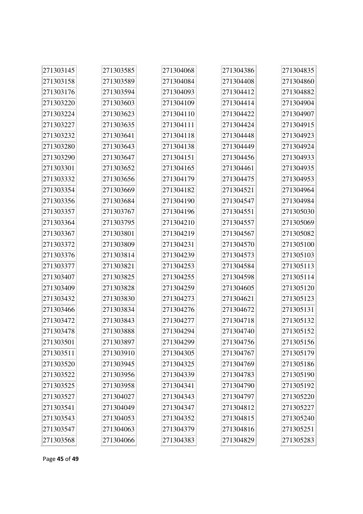| 271303145 | 271303585 | 271304068 | 271304386 | 271304835 |
|-----------|-----------|-----------|-----------|-----------|
| 271303158 | 271303589 | 271304084 | 271304408 | 271304860 |
| 271303176 | 271303594 | 271304093 | 271304412 | 271304882 |
| 271303220 | 271303603 | 271304109 | 271304414 | 271304904 |
| 271303224 | 271303623 | 271304110 | 271304422 | 271304907 |
| 271303227 | 271303635 | 271304111 | 271304424 | 271304915 |
| 271303232 | 271303641 | 271304118 | 271304448 | 271304923 |
| 271303280 | 271303643 | 271304138 | 271304449 | 271304924 |
| 271303290 | 271303647 | 271304151 | 271304456 | 271304933 |
| 271303301 | 271303652 | 271304165 | 271304461 | 271304935 |
| 271303332 | 271303656 | 271304179 | 271304475 | 271304953 |
| 271303354 | 271303669 | 271304182 | 271304521 | 271304964 |
| 271303356 | 271303684 | 271304190 | 271304547 | 271304984 |
| 271303357 | 271303767 | 271304196 | 271304551 | 271305030 |
| 271303364 | 271303795 | 271304210 | 271304557 | 271305069 |
| 271303367 | 271303801 | 271304219 | 271304567 | 271305082 |
| 271303372 | 271303809 | 271304231 | 271304570 | 271305100 |
| 271303376 | 271303814 | 271304239 | 271304573 | 271305103 |
| 271303377 | 271303821 | 271304253 | 271304584 | 271305113 |
| 271303407 | 271303825 | 271304255 | 271304598 | 271305114 |
| 271303409 | 271303828 | 271304259 | 271304605 | 271305120 |
| 271303432 | 271303830 | 271304273 | 271304621 | 271305123 |
| 271303466 | 271303834 | 271304276 | 271304672 | 271305131 |
| 271303472 | 271303843 | 271304277 | 271304718 | 271305132 |
| 271303478 | 271303888 | 271304294 | 271304740 | 271305152 |
| 271303501 | 271303897 | 271304299 | 271304756 | 271305156 |
| 271303511 | 271303910 | 271304305 | 271304767 | 271305179 |
| 271303520 | 271303945 | 271304325 | 271304769 | 271305186 |
| 271303522 | 271303956 | 271304339 | 271304783 | 271305190 |
| 271303525 | 271303958 | 271304341 | 271304790 | 271305192 |
| 271303527 | 271304027 | 271304343 | 271304797 | 271305220 |
| 271303541 | 271304049 | 271304347 | 271304812 | 271305227 |
| 271303543 | 271304053 | 271304352 | 271304815 | 271305240 |
| 271303547 | 271304063 | 271304379 | 271304816 | 271305251 |
| 271303568 | 271304066 | 271304383 | 271304829 | 271305283 |

Page **45** of **49**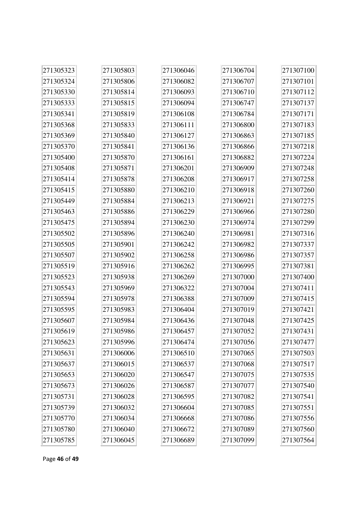| 271305323 | 271305803 | 271306046 | 271306704 | 271307100 |
|-----------|-----------|-----------|-----------|-----------|
| 271305324 | 271305806 | 271306082 | 271306707 | 271307101 |
| 271305330 | 271305814 | 271306093 | 271306710 | 271307112 |
| 271305333 | 271305815 | 271306094 | 271306747 | 271307137 |
| 271305341 | 271305819 | 271306108 | 271306784 | 271307171 |
| 271305368 | 271305833 | 271306111 | 271306800 | 271307183 |
| 271305369 | 271305840 | 271306127 | 271306863 | 271307185 |
| 271305370 | 271305841 | 271306136 | 271306866 | 271307218 |
| 271305400 | 271305870 | 271306161 | 271306882 | 271307224 |
| 271305408 | 271305871 | 271306201 | 271306909 | 271307248 |
| 271305414 | 271305878 | 271306208 | 271306917 | 271307258 |
| 271305415 | 271305880 | 271306210 | 271306918 | 271307260 |
| 271305449 | 271305884 | 271306213 | 271306921 | 271307275 |
| 271305463 | 271305886 | 271306229 | 271306966 | 271307280 |
| 271305475 | 271305894 | 271306230 | 271306974 | 271307299 |
| 271305502 | 271305896 | 271306240 | 271306981 | 271307316 |
| 271305505 | 271305901 | 271306242 | 271306982 | 271307337 |
| 271305507 | 271305902 | 271306258 | 271306986 | 271307357 |
| 271305519 | 271305916 | 271306262 | 271306995 | 271307381 |
| 271305523 | 271305938 | 271306269 | 271307000 | 271307400 |
| 271305543 | 271305969 | 271306322 | 271307004 | 271307411 |
| 271305594 | 271305978 | 271306388 | 271307009 | 271307415 |
| 271305595 | 271305983 | 271306404 | 271307019 | 271307421 |
| 271305607 | 271305984 | 271306436 | 271307048 | 271307425 |
| 271305619 | 271305986 | 271306457 | 271307052 | 271307431 |
| 271305623 | 271305996 | 271306474 | 271307056 | 271307477 |
| 271305631 | 271306006 | 271306510 | 271307065 | 271307503 |
| 271305637 | 271306015 | 271306537 | 271307068 | 271307517 |
| 271305653 | 271306020 | 271306547 | 271307075 | 271307535 |
| 271305673 | 271306026 | 271306587 | 271307077 | 271307540 |
| 271305731 | 271306028 | 271306595 | 271307082 | 271307541 |
| 271305739 | 271306032 | 271306604 | 271307085 | 271307551 |
| 271305770 | 271306034 | 271306668 | 271307086 | 271307556 |
| 271305780 | 271306040 | 271306672 | 271307089 | 271307560 |
| 271305785 | 271306045 | 271306689 | 271307099 | 271307564 |

Page **46** of **49**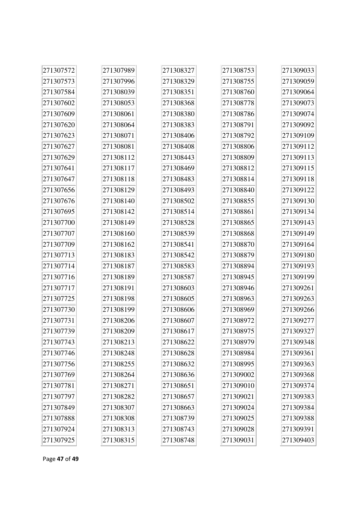| 271307572 | 271307989 | 271308327 | 271308753 | 271309033 |
|-----------|-----------|-----------|-----------|-----------|
| 271307573 | 271307996 | 271308329 | 271308755 | 271309059 |
| 271307584 | 271308039 | 271308351 | 271308760 | 271309064 |
| 271307602 | 271308053 | 271308368 | 271308778 | 271309073 |
| 271307609 | 271308061 | 271308380 | 271308786 | 271309074 |
| 271307620 | 271308064 | 271308383 | 271308791 | 271309092 |
| 271307623 | 271308071 | 271308406 | 271308792 | 271309109 |
| 271307627 | 271308081 | 271308408 | 271308806 | 271309112 |
| 271307629 | 271308112 | 271308443 | 271308809 | 271309113 |
| 271307641 | 271308117 | 271308469 | 271308812 | 271309115 |
| 271307647 | 271308118 | 271308483 | 271308814 | 271309118 |
| 271307656 | 271308129 | 271308493 | 271308840 | 271309122 |
| 271307676 | 271308140 | 271308502 | 271308855 | 271309130 |
| 271307695 | 271308142 | 271308514 | 271308861 | 271309134 |
| 271307700 | 271308149 | 271308528 | 271308865 | 271309143 |
| 271307707 | 271308160 | 271308539 | 271308868 | 271309149 |
| 271307709 | 271308162 | 271308541 | 271308870 | 271309164 |
| 271307713 | 271308183 | 271308542 | 271308879 | 271309180 |
| 271307714 | 271308187 | 271308583 | 271308894 | 271309193 |
| 271307716 | 271308189 | 271308587 | 271308945 | 271309199 |
| 271307717 | 271308191 | 271308603 | 271308946 | 271309261 |
| 271307725 | 271308198 | 271308605 | 271308963 | 271309263 |
| 271307730 | 271308199 | 271308606 | 271308969 | 271309266 |
| 271307731 | 271308206 | 271308607 | 271308972 | 271309277 |
| 271307739 | 271308209 | 271308617 | 271308975 | 271309327 |
| 271307743 | 271308213 | 271308622 | 271308979 | 271309348 |
| 271307746 | 271308248 | 271308628 | 271308984 | 271309361 |
| 271307756 | 271308255 | 271308632 | 271308995 | 271309363 |
| 271307769 | 271308264 | 271308636 | 271309002 | 271309368 |
| 271307781 | 271308271 | 271308651 | 271309010 | 271309374 |
| 271307797 | 271308282 | 271308657 | 271309021 | 271309383 |
| 271307849 | 271308307 | 271308663 | 271309024 | 271309384 |
| 271307888 | 271308308 | 271308739 | 271309025 | 271309388 |
| 271307924 | 271308313 | 271308743 | 271309028 | 271309391 |
| 271307925 | 271308315 | 271308748 | 271309031 | 271309403 |

Page **47** of **49**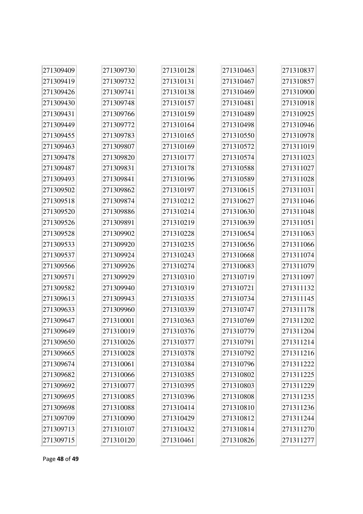| 271309409 | 271309730 | 271310128 | 271310463 | 271310837 |
|-----------|-----------|-----------|-----------|-----------|
| 271309419 | 271309732 | 271310131 | 271310467 | 271310857 |
| 271309426 | 271309741 | 271310138 | 271310469 | 271310900 |
| 271309430 | 271309748 | 271310157 | 271310481 | 271310918 |
| 271309431 | 271309766 | 271310159 | 271310489 | 271310925 |
| 271309449 | 271309772 | 271310164 | 271310498 | 271310946 |
| 271309455 | 271309783 | 271310165 | 271310550 | 271310978 |
| 271309463 | 271309807 | 271310169 | 271310572 | 271311019 |
| 271309478 | 271309820 | 271310177 | 271310574 | 271311023 |
| 271309487 | 271309831 | 271310178 | 271310588 | 271311027 |
| 271309493 | 271309841 | 271310196 | 271310589 | 271311028 |
| 271309502 | 271309862 | 271310197 | 271310615 | 271311031 |
| 271309518 | 271309874 | 271310212 | 271310627 | 271311046 |
| 271309520 | 271309886 | 271310214 | 271310630 | 271311048 |
| 271309526 | 271309891 | 271310219 | 271310639 | 271311051 |
| 271309528 | 271309902 | 271310228 | 271310654 | 271311063 |
| 271309533 | 271309920 | 271310235 | 271310656 | 271311066 |
| 271309537 | 271309924 | 271310243 | 271310668 | 271311074 |
| 271309566 | 271309926 | 271310274 | 271310683 | 271311079 |
| 271309571 | 271309929 | 271310310 | 271310719 | 271311097 |
| 271309582 | 271309940 | 271310319 | 271310721 | 271311132 |
| 271309613 | 271309943 | 271310335 | 271310734 | 271311145 |
| 271309633 | 271309960 | 271310339 | 271310747 | 271311178 |
| 271309647 | 271310001 | 271310363 | 271310769 | 271311202 |
| 271309649 | 271310019 | 271310376 | 271310779 | 271311204 |
| 271309650 | 271310026 | 271310377 | 271310791 | 271311214 |
| 271309665 | 271310028 | 271310378 | 271310792 | 271311216 |
| 271309674 | 271310061 | 271310384 | 271310796 | 271311222 |
| 271309682 | 271310066 | 271310385 | 271310802 | 271311225 |
| 271309692 | 271310077 | 271310395 | 271310803 | 271311229 |
| 271309695 | 271310085 | 271310396 | 271310808 | 271311235 |
| 271309698 | 271310088 | 271310414 | 271310810 | 271311236 |
| 271309709 | 271310090 | 271310429 | 271310812 | 271311244 |
| 271309713 | 271310107 | 271310432 | 271310814 | 271311270 |
| 271309715 | 271310120 | 271310461 | 271310826 | 271311277 |

Page **48** of **49**